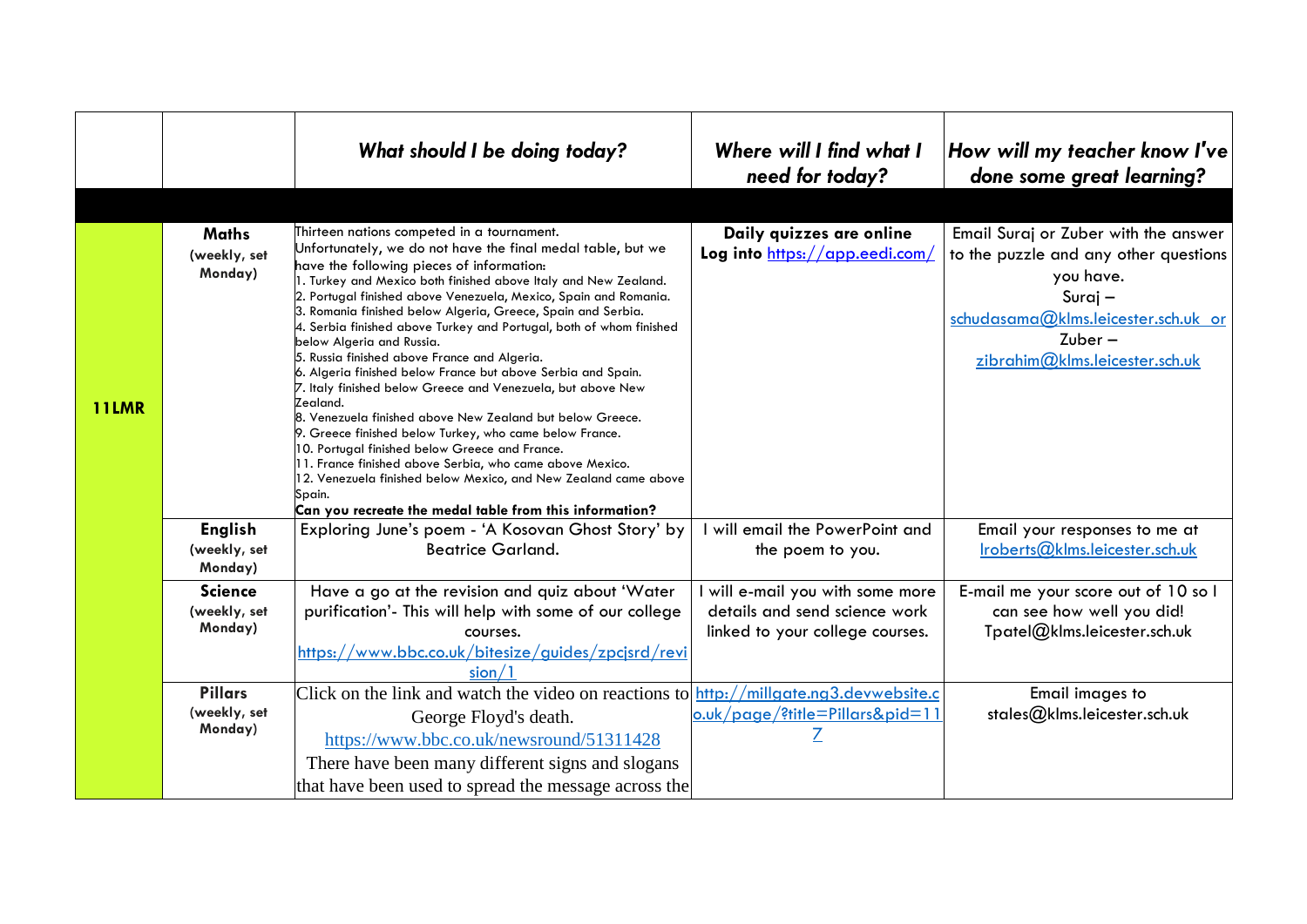|              |                                           | What should I be doing today?                                                                                                                                                                                                                                                                                                                                                                                                                                                                                                                                                                                                                                                                                                                                                                                                                                                                                                                                                                                                              | Where will I find what I<br>need for today?                                                        | How will my teacher know I've<br>done some great learning?                                                                                                                                    |
|--------------|-------------------------------------------|--------------------------------------------------------------------------------------------------------------------------------------------------------------------------------------------------------------------------------------------------------------------------------------------------------------------------------------------------------------------------------------------------------------------------------------------------------------------------------------------------------------------------------------------------------------------------------------------------------------------------------------------------------------------------------------------------------------------------------------------------------------------------------------------------------------------------------------------------------------------------------------------------------------------------------------------------------------------------------------------------------------------------------------------|----------------------------------------------------------------------------------------------------|-----------------------------------------------------------------------------------------------------------------------------------------------------------------------------------------------|
| <b>11LMR</b> | <b>Maths</b><br>(weekly, set<br>Monday)   | Thirteen nations competed in a tournament.<br>Unfortunately, we do not have the final medal table, but we<br>have the following pieces of information:<br>1. Turkey and Mexico both finished above Italy and New Zealand.<br>2. Portugal finished above Venezuela, Mexico, Spain and Romania.<br>3. Romania finished below Algeria, Greece, Spain and Serbia.<br>4. Serbia finished above Turkey and Portugal, both of whom finished<br>below Algeria and Russia.<br>5. Russia finished above France and Algeria.<br>6. Algeria finished below France but above Serbia and Spain.<br>7. Italy finished below Greece and Venezuela, but above New<br>Zealand.<br>8. Venezuela finished above New Zealand but below Greece.<br>9. Greece finished below Turkey, who came below France.<br>10. Portugal finished below Greece and France.<br>11. France finished above Serbia, who came above Mexico.<br>12. Venezuela finished below Mexico, and New Zealand came above<br>Spain.<br>Can you recreate the medal table from this information? | Daily quizzes are online<br>Log into https://app.eedi.com/                                         | Email Suraj or Zuber with the answer<br>to the puzzle and any other questions<br>you have.<br>Suraj $-$<br>schudasama@klms.leicester.sch.uk or<br>$Zuber -$<br>zibrahim@klms.leicester.sch.uk |
|              | <b>English</b><br>(weekly, set<br>Monday) | Exploring June's poem - 'A Kosovan Ghost Story' by<br><b>Beatrice Garland.</b>                                                                                                                                                                                                                                                                                                                                                                                                                                                                                                                                                                                                                                                                                                                                                                                                                                                                                                                                                             | will email the PowerPoint and<br>the poem to you.                                                  | Email your responses to me at<br>Iroberts@klms.leicester.sch.uk                                                                                                                               |
|              | <b>Science</b><br>(weekly, set<br>Monday) | Have a go at the revision and quiz about 'Water<br>purification'- This will help with some of our college<br>courses.<br>https://www.bbc.co.uk/bitesize/guides/zpcjsrd/revi<br>sion/1                                                                                                                                                                                                                                                                                                                                                                                                                                                                                                                                                                                                                                                                                                                                                                                                                                                      | will e-mail you with some more<br>details and send science work<br>linked to your college courses. | E-mail me your score out of 10 so I<br>can see how well you did!<br>Tpatel@klms.leicester.sch.uk                                                                                              |
|              | <b>Pillars</b><br>(weekly, set<br>Monday) | Click on the link and watch the video on reactions to http://millgate.ng3.devwebsite.c<br>George Floyd's death.<br>https://www.bbc.co.uk/newsround/51311428<br>There have been many different signs and slogans<br>that have been used to spread the message across the                                                                                                                                                                                                                                                                                                                                                                                                                                                                                                                                                                                                                                                                                                                                                                    | o.uk/page/?title=Pillars&pid=11                                                                    | Email images to<br>stales@klms.leicester.sch.uk                                                                                                                                               |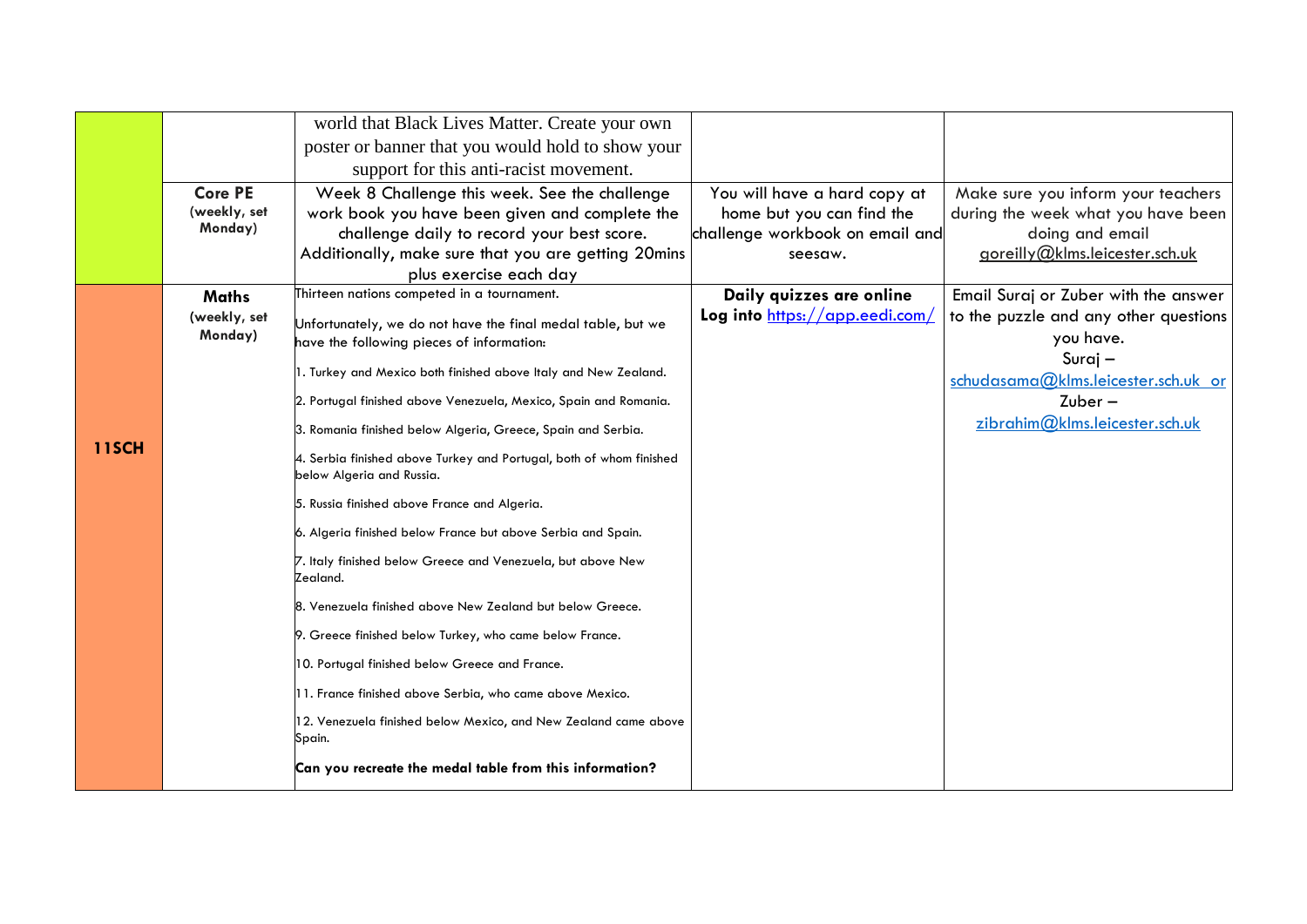|              |                         | world that Black Lives Matter. Create your own                                                   |                                 |                                                |
|--------------|-------------------------|--------------------------------------------------------------------------------------------------|---------------------------------|------------------------------------------------|
|              |                         | poster or banner that you would hold to show your                                                |                                 |                                                |
|              |                         | support for this anti-racist movement.                                                           |                                 |                                                |
|              | <b>Core PE</b>          | Week 8 Challenge this week. See the challenge                                                    | You will have a hard copy at    | Make sure you inform your teachers             |
|              | (weekly, set            | work book you have been given and complete the                                                   | home but you can find the       | during the week what you have been             |
|              | Monday)                 | challenge daily to record your best score.                                                       | challenge workbook on email and | doing and email                                |
|              |                         | Additionally, make sure that you are getting 20mins                                              | seesaw.                         | goreilly@klms.leicester.sch.uk                 |
|              |                         | plus exercise each day                                                                           |                                 |                                                |
|              | <b>Maths</b>            | Thirteen nations competed in a tournament.                                                       | Daily quizzes are online        | Email Suraj or Zuber with the answer           |
|              | (weekly, set<br>Monday) | Unfortunately, we do not have the final medal table, but we                                      | Log into https://app.eedi.com/  | to the puzzle and any other questions          |
|              |                         | have the following pieces of information:                                                        |                                 | you have.                                      |
|              |                         | 1. Turkey and Mexico both finished above Italy and New Zealand.                                  |                                 | Suraj -<br>schudasama@klms.leicester.sch.uk or |
|              |                         | 2. Portugal finished above Venezuela, Mexico, Spain and Romania.                                 |                                 | $Zuber -$                                      |
|              |                         |                                                                                                  |                                 | zibrahim@klms.leicester.sch.uk                 |
| <b>11SCH</b> |                         | 3. Romania finished below Algeria, Greece, Spain and Serbia.                                     |                                 |                                                |
|              |                         | 4. Serbia finished above Turkey and Portugal, both of whom finished<br>below Algeria and Russia. |                                 |                                                |
|              |                         | 5. Russia finished above France and Algeria.                                                     |                                 |                                                |
|              |                         | 6. Algeria finished below France but above Serbia and Spain.                                     |                                 |                                                |
|              |                         | 7. Italy finished below Greece and Venezuela, but above New<br>Zealand.                          |                                 |                                                |
|              |                         | 8. Venezuela finished above New Zealand but below Greece.                                        |                                 |                                                |
|              |                         | 9. Greece finished below Turkey, who came below France.                                          |                                 |                                                |
|              |                         | 10. Portugal finished below Greece and France.                                                   |                                 |                                                |
|              |                         | 11. France finished above Serbia, who came above Mexico.                                         |                                 |                                                |
|              |                         | 12. Venezuela finished below Mexico, and New Zealand came above<br>Spain.                        |                                 |                                                |
|              |                         | Can you recreate the medal table from this information?                                          |                                 |                                                |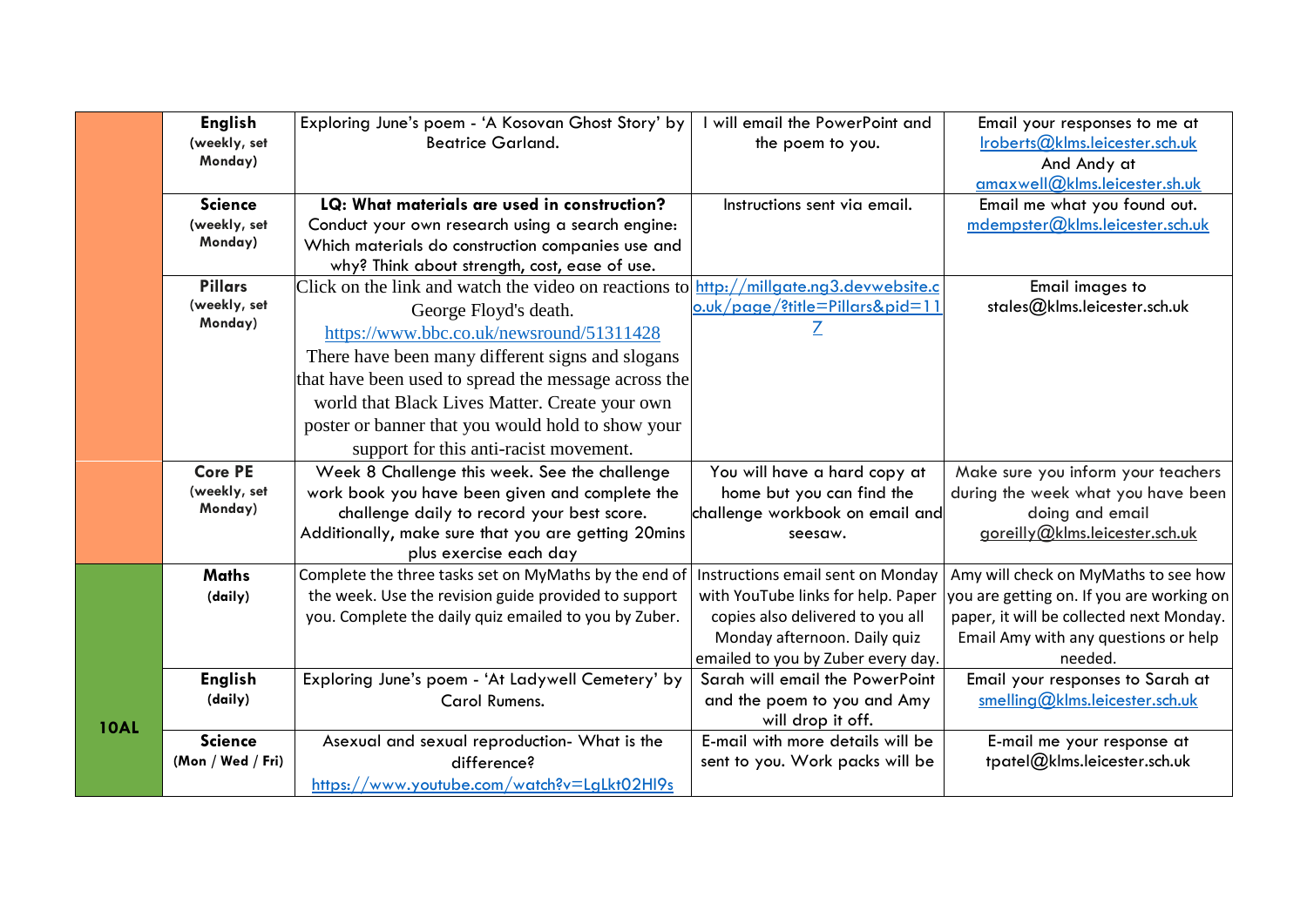|             | <b>English</b>                 | Exploring June's poem - 'A Kosovan Ghost Story' by                                     | I will email the PowerPoint and                       | Email your responses to me at                              |
|-------------|--------------------------------|----------------------------------------------------------------------------------------|-------------------------------------------------------|------------------------------------------------------------|
|             | (weekly, set                   | <b>Beatrice Garland.</b>                                                               | the poem to you.                                      | Iroberts@klms.leicester.sch.uk                             |
|             | Monday)                        |                                                                                        |                                                       | And Andy at                                                |
|             |                                |                                                                                        |                                                       | amaxwell@klms.leicester.sh.uk                              |
|             | <b>Science</b>                 | LQ: What materials are used in construction?                                           | Instructions sent via email.                          | Email me what you found out.                               |
|             | (weekly, set                   | Conduct your own research using a search engine:                                       |                                                       | mdempster@klms.leicester.sch.uk                            |
|             | Monday)                        | Which materials do construction companies use and                                      |                                                       |                                                            |
|             |                                | why? Think about strength, cost, ease of use.                                          |                                                       |                                                            |
|             | <b>Pillars</b><br>(weekly, set | Click on the link and watch the video on reactions to http://millgate.ng3.devwebsite.c |                                                       | Email images to                                            |
|             | Monday)                        | George Floyd's death.                                                                  | o.uk/page/?title=Pillars&pid=11                       | stales@klms.leicester.sch.uk                               |
|             |                                | https://www.bbc.co.uk/newsround/51311428                                               |                                                       |                                                            |
|             |                                | There have been many different signs and slogans                                       |                                                       |                                                            |
|             |                                | that have been used to spread the message across the                                   |                                                       |                                                            |
|             |                                | world that Black Lives Matter. Create your own                                         |                                                       |                                                            |
|             |                                | poster or banner that you would hold to show your                                      |                                                       |                                                            |
|             |                                | support for this anti-racist movement.                                                 |                                                       |                                                            |
|             | <b>Core PE</b>                 | Week 8 Challenge this week. See the challenge                                          | You will have a hard copy at                          | Make sure you inform your teachers                         |
|             | (weekly, set                   | work book you have been given and complete the                                         | home but you can find the                             | during the week what you have been                         |
|             | Monday)                        | challenge daily to record your best score.                                             | challenge workbook on email and                       | doing and email                                            |
|             |                                | Additionally, make sure that you are getting 20mins                                    | seesaw.                                               | goreilly@klms.leicester.sch.uk                             |
|             |                                | plus exercise each day                                                                 |                                                       |                                                            |
|             | <b>Maths</b>                   | Complete the three tasks set on MyMaths by the end of                                  | Instructions email sent on Monday                     | Amy will check on MyMaths to see how                       |
|             | (daily)                        | the week. Use the revision guide provided to support                                   | with YouTube links for help. Paper                    | you are getting on. If you are working on                  |
|             |                                | you. Complete the daily quiz emailed to you by Zuber.                                  | copies also delivered to you all                      | paper, it will be collected next Monday.                   |
|             |                                |                                                                                        | Monday afternoon. Daily quiz                          | Email Amy with any questions or help                       |
|             |                                |                                                                                        | emailed to you by Zuber every day.                    | needed.                                                    |
|             | <b>English</b>                 | Exploring June's poem - 'At Ladywell Cemetery' by                                      | Sarah will email the PowerPoint                       | Email your responses to Sarah at                           |
|             | (daily)                        | Carol Rumens.                                                                          | and the poem to you and Amy                           | smelling@klms.leicester.sch.uk                             |
| <b>10AL</b> | <b>Science</b>                 |                                                                                        | will drop it off.<br>E-mail with more details will be |                                                            |
|             | (Mon / Wed / Fri)              | Asexual and sexual reproduction- What is the<br>difference?                            | sent to you. Work packs will be                       | E-mail me your response at<br>tpatel@klms.leicester.sch.uk |
|             |                                |                                                                                        |                                                       |                                                            |
|             |                                | https://www.youtube.com/watch?v=LgLkt02Hl9s                                            |                                                       |                                                            |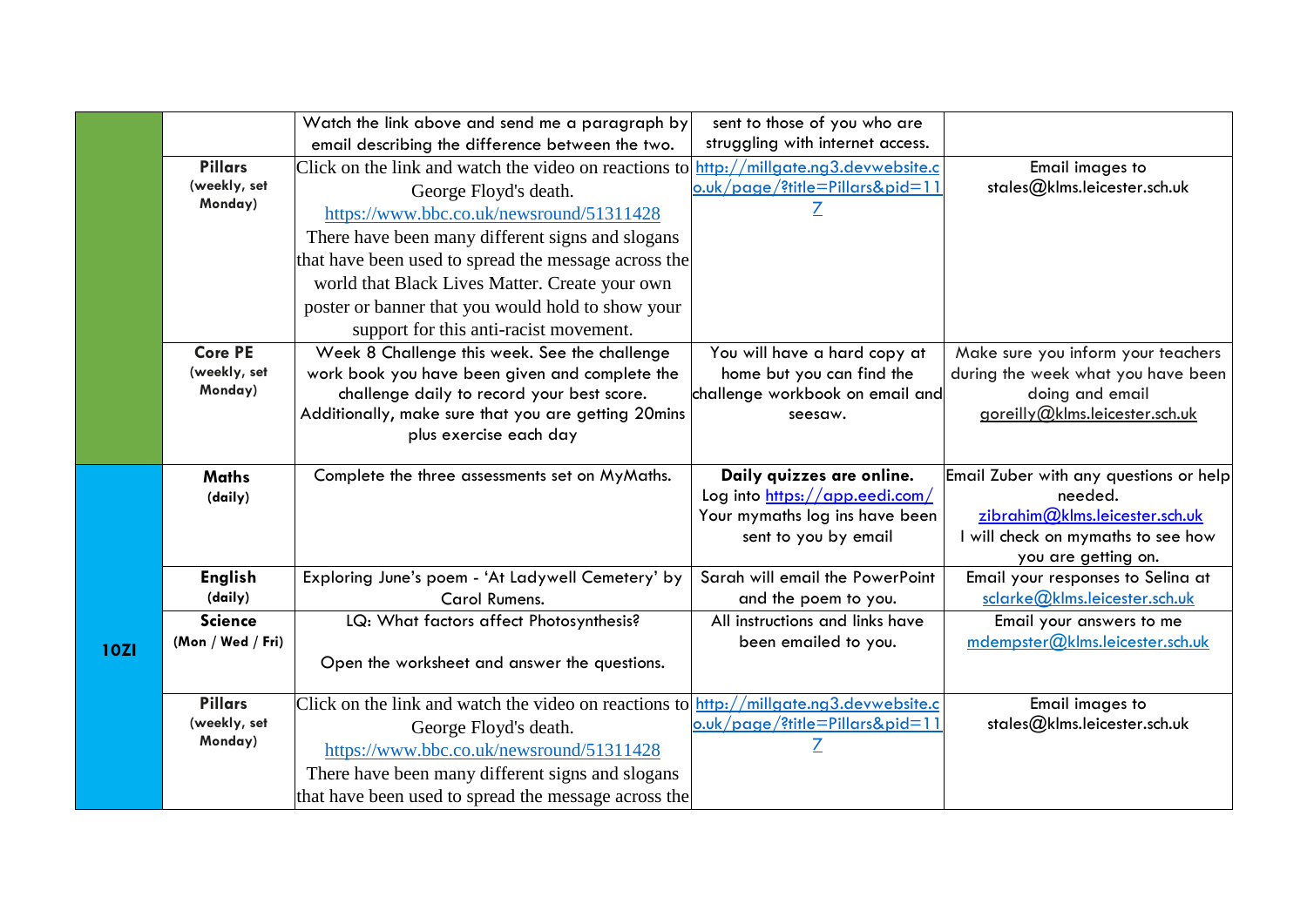|             |                           | Watch the link above and send me a paragraph by                                                                                     | sent to those of you who are               |                                                                    |
|-------------|---------------------------|-------------------------------------------------------------------------------------------------------------------------------------|--------------------------------------------|--------------------------------------------------------------------|
|             |                           | email describing the difference between the two.                                                                                    | struggling with internet access.           |                                                                    |
|             | <b>Pillars</b>            | Click on the link and watch the video on reactions to                                                                               | http://millgate.ng3.devwebsite.c           | Email images to                                                    |
|             | (weekly, set              | George Floyd's death.                                                                                                               | <u>o.uk/page/?title=Pillars&amp;pid=11</u> | stales@klms.leicester.sch.uk                                       |
|             | Monday)                   | https://www.bbc.co.uk/newsround/51311428                                                                                            |                                            |                                                                    |
|             |                           | There have been many different signs and slogans                                                                                    |                                            |                                                                    |
|             |                           | that have been used to spread the message across the                                                                                |                                            |                                                                    |
|             |                           | world that Black Lives Matter. Create your own                                                                                      |                                            |                                                                    |
|             |                           | poster or banner that you would hold to show your                                                                                   |                                            |                                                                    |
|             |                           | support for this anti-racist movement.                                                                                              |                                            |                                                                    |
|             | <b>Core PE</b>            | Week 8 Challenge this week. See the challenge                                                                                       | You will have a hard copy at               | Make sure you inform your teachers                                 |
|             | (weekly, set              | work book you have been given and complete the                                                                                      | home but you can find the                  | during the week what you have been                                 |
|             | Monday)                   | challenge daily to record your best score.                                                                                          | challenge workbook on email and            | doing and email                                                    |
|             |                           | Additionally, make sure that you are getting 20mins<br>plus exercise each day                                                       | seesaw.                                    | goreilly@klms.leicester.sch.uk                                     |
|             |                           |                                                                                                                                     |                                            |                                                                    |
|             | <b>Maths</b>              | Complete the three assessments set on MyMaths.                                                                                      | Daily quizzes are online.                  | Email Zuber with any questions or help                             |
|             | (daily)                   |                                                                                                                                     | Log into https://app.eedi.com/             | needed.                                                            |
|             |                           |                                                                                                                                     | Your mymaths log ins have been             | zibrahim@klms.leicester.sch.uk                                     |
|             |                           |                                                                                                                                     | sent to you by email                       | will check on mymaths to see how                                   |
|             |                           |                                                                                                                                     | Sarah will email the PowerPoint            | you are getting on.                                                |
|             | <b>English</b><br>(daily) | Exploring June's poem - 'At Ladywell Cemetery' by<br>Carol Rumens.                                                                  | and the poem to you.                       | Email your responses to Selina at<br>sclarke@klms.leicester.sch.uk |
|             | <b>Science</b>            | LQ: What factors affect Photosynthesis?                                                                                             | All instructions and links have            | Email your answers to me                                           |
|             | (Mon / Wed / Fri)         |                                                                                                                                     | been emailed to you.                       | mdempster@klms.leicester.sch.uk                                    |
| <b>10ZI</b> |                           | Open the worksheet and answer the questions.                                                                                        |                                            |                                                                    |
|             |                           |                                                                                                                                     |                                            |                                                                    |
|             | <b>Pillars</b>            | Click on the link and watch the video on reactions to $\frac{http://millgate.org3.devwebsite.c}{http://millgate.org3.devwebsite.c}$ |                                            | Email images to                                                    |
|             | (weekly, set              | George Floyd's death.                                                                                                               | o.uk/page/?title=Pillars&pid=11            | stales@klms.leicester.sch.uk                                       |
|             |                           |                                                                                                                                     | $\overline{Z}$                             |                                                                    |
|             | Monday)                   | https://www.bbc.co.uk/newsround/51311428                                                                                            |                                            |                                                                    |
|             |                           | There have been many different signs and slogans                                                                                    |                                            |                                                                    |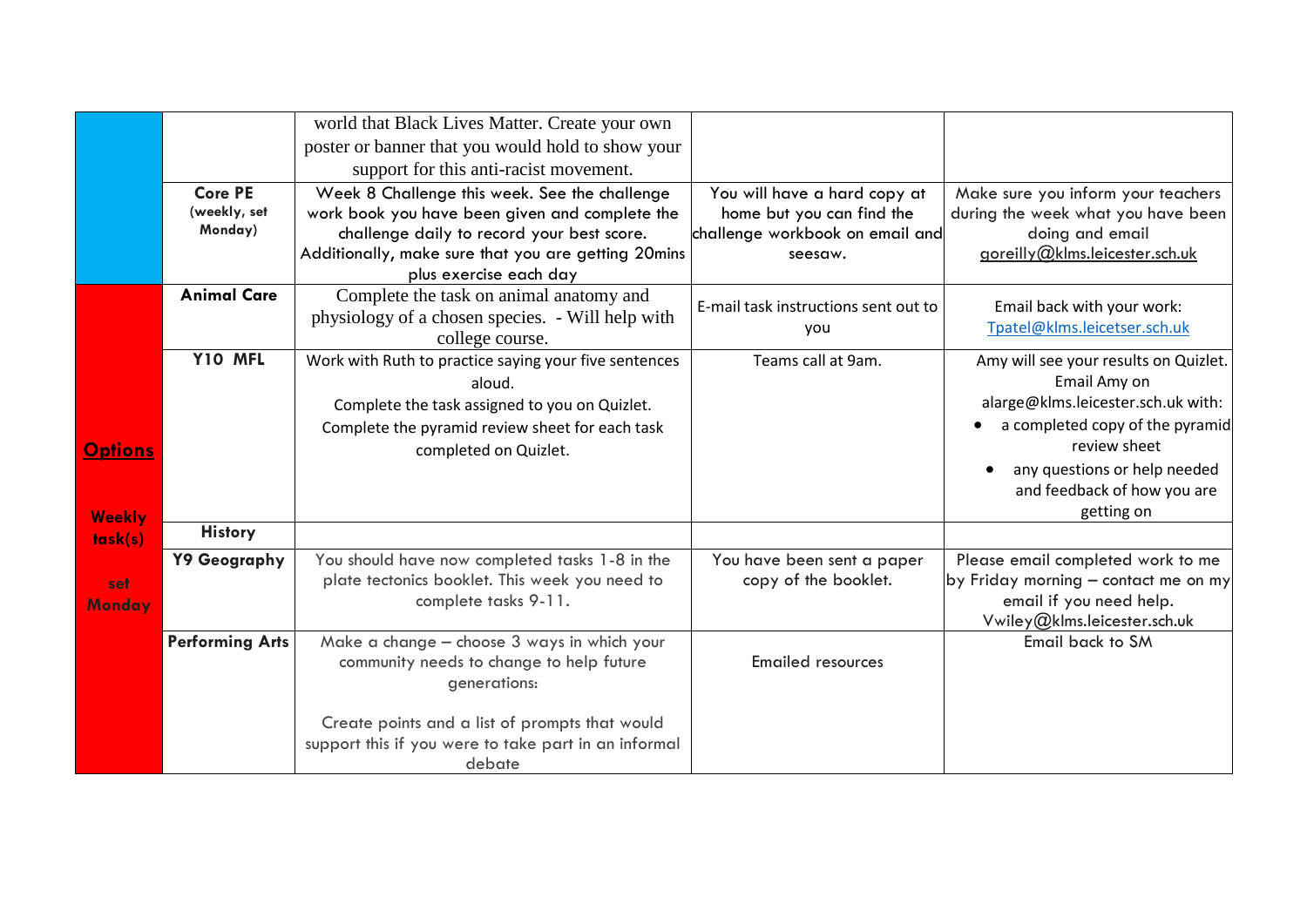|                |                        | world that Black Lives Matter. Create your own                         |                                      |                                                                 |
|----------------|------------------------|------------------------------------------------------------------------|--------------------------------------|-----------------------------------------------------------------|
|                |                        | poster or banner that you would hold to show your                      |                                      |                                                                 |
|                |                        | support for this anti-racist movement.                                 |                                      |                                                                 |
|                | <b>Core PE</b>         | Week 8 Challenge this week. See the challenge                          | You will have a hard copy at         | Make sure you inform your teachers                              |
|                | (weekly, set           | work book you have been given and complete the                         | home but you can find the            | during the week what you have been                              |
|                | Monday)                | challenge daily to record your best score.                             | challenge workbook on email and      | doing and email                                                 |
|                |                        | Additionally, make sure that you are getting 20mins                    | seesaw.                              | goreilly@klms.leicester.sch.uk                                  |
|                |                        | plus exercise each day                                                 |                                      |                                                                 |
|                | <b>Animal Care</b>     | Complete the task on animal anatomy and                                | E-mail task instructions sent out to | Email back with your work:                                      |
|                |                        | physiology of a chosen species. - Will help with                       | you                                  | Tpatel@klms.leicetser.sch.uk                                    |
|                |                        | college course.                                                        |                                      |                                                                 |
|                | Y10 MFL                | Work with Ruth to practice saying your five sentences                  | Teams call at 9am.                   | Amy will see your results on Quizlet.                           |
|                |                        | aloud.                                                                 |                                      | Email Amy on<br>alarge@klms.leicester.sch.uk with:              |
|                |                        | Complete the task assigned to you on Quizlet.                          |                                      |                                                                 |
|                |                        | Complete the pyramid review sheet for each task                        |                                      | a completed copy of the pyramid<br>review sheet                 |
| <b>Options</b> |                        | completed on Quizlet.                                                  |                                      |                                                                 |
|                |                        |                                                                        |                                      | any questions or help needed                                    |
|                |                        |                                                                        |                                      | and feedback of how you are<br>getting on                       |
| <b>Weekly</b>  | <b>History</b>         |                                                                        |                                      |                                                                 |
| task(s)        |                        |                                                                        |                                      |                                                                 |
|                | Y9 Geography           | You should have now completed tasks 1-8 in the                         | You have been sent a paper           | Please email completed work to me                               |
| set            |                        | plate tectonics booklet. This week you need to<br>complete tasks 9-11. | copy of the booklet.                 | by Friday morning - contact me on my<br>email if you need help. |
| <b>Monday</b>  |                        |                                                                        |                                      | Vwiley@klms.leicester.sch.uk                                    |
|                | <b>Performing Arts</b> | Make a change - choose 3 ways in which your                            |                                      | Email back to SM                                                |
|                |                        | community needs to change to help future                               | <b>Emailed resources</b>             |                                                                 |
|                |                        | generations:                                                           |                                      |                                                                 |
|                |                        |                                                                        |                                      |                                                                 |
|                |                        | Create points and a list of prompts that would                         |                                      |                                                                 |
|                |                        | support this if you were to take part in an informal                   |                                      |                                                                 |
|                |                        | debate                                                                 |                                      |                                                                 |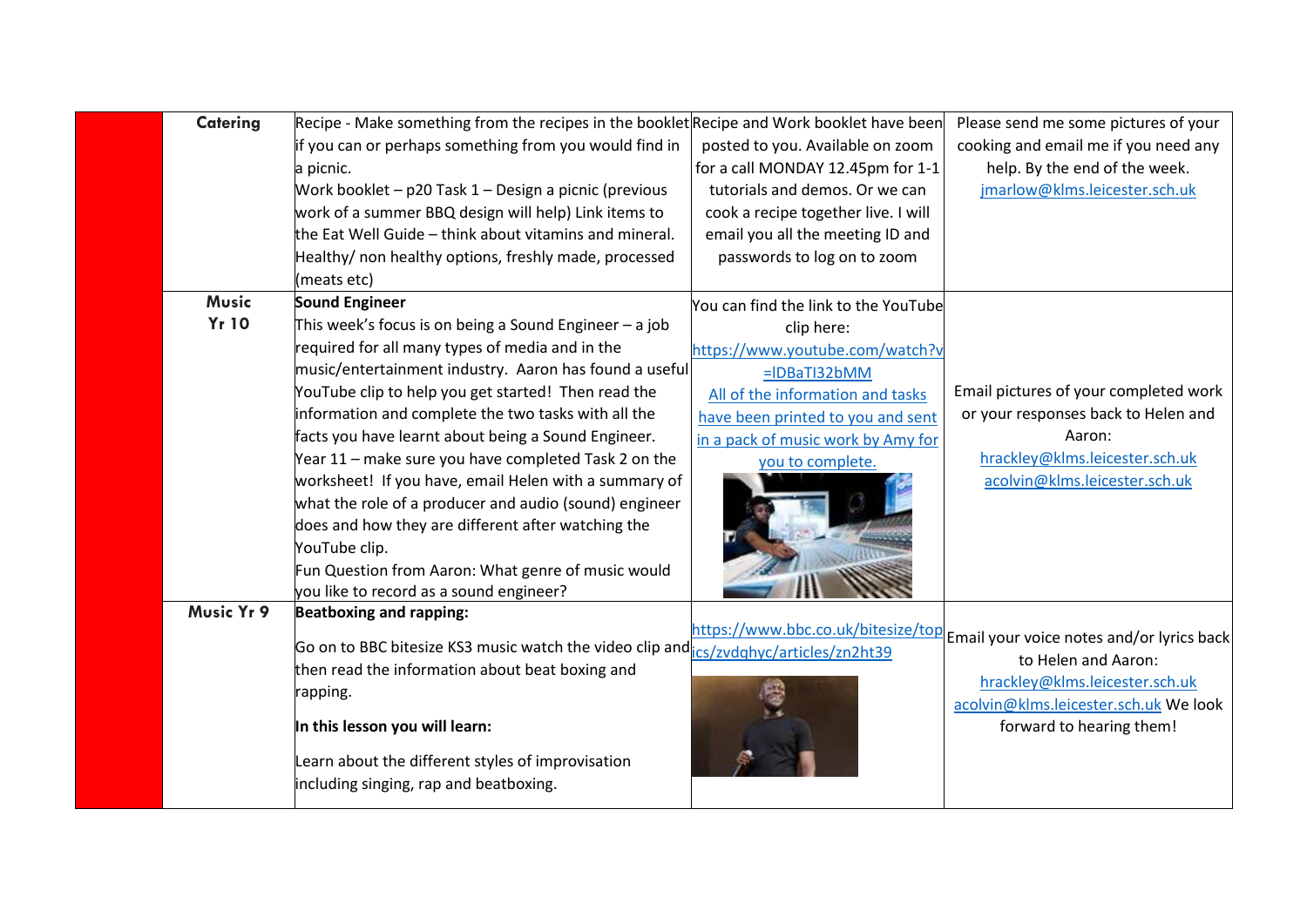| <b>Catering</b> | Recipe - Make something from the recipes in the booklet Recipe and Work booklet have been |                                      | Please send me some pictures of your      |
|-----------------|-------------------------------------------------------------------------------------------|--------------------------------------|-------------------------------------------|
|                 | if you can or perhaps something from you would find in                                    | posted to you. Available on zoom     | cooking and email me if you need any      |
|                 | a picnic.                                                                                 | for a call MONDAY 12.45pm for 1-1    | help. By the end of the week.             |
|                 | Work booklet - p20 Task 1 - Design a picnic (previous                                     | tutorials and demos. Or we can       | jmarlow@klms.leicester.sch.uk             |
|                 | work of a summer BBQ design will help) Link items to                                      | cook a recipe together live. I will  |                                           |
|                 | the Eat Well Guide – think about vitamins and mineral.                                    | email you all the meeting ID and     |                                           |
|                 | Healthy/ non healthy options, freshly made, processed                                     | passwords to log on to zoom          |                                           |
|                 | (meats etc)                                                                               |                                      |                                           |
| <b>Music</b>    | <b>Sound Engineer</b>                                                                     | You can find the link to the YouTube |                                           |
| <b>Yr 10</b>    | This week's focus is on being a Sound Engineer $-$ a job                                  | clip here:                           |                                           |
|                 | required for all many types of media and in the                                           | https://www.youtube.com/watch?v      |                                           |
|                 | music/entertainment industry. Aaron has found a useful                                    | $=$ IDBaTI32bMM                      |                                           |
|                 | YouTube clip to help you get started! Then read the                                       | All of the information and tasks     | Email pictures of your completed work     |
|                 | information and complete the two tasks with all the                                       | have been printed to you and sent    | or your responses back to Helen and       |
|                 | facts you have learnt about being a Sound Engineer.                                       | in a pack of music work by Amy for   | Aaron:                                    |
|                 | Year 11 - make sure you have completed Task 2 on the                                      | you to complete.                     | hrackley@klms.leicester.sch.uk            |
|                 | worksheet! If you have, email Helen with a summary of                                     |                                      | acolvin@klms.leicester.sch.uk             |
|                 | what the role of a producer and audio (sound) engineer                                    |                                      |                                           |
|                 | does and how they are different after watching the                                        |                                      |                                           |
|                 | YouTube clip.                                                                             |                                      |                                           |
|                 | Fun Question from Aaron: What genre of music would                                        |                                      |                                           |
|                 | you like to record as a sound engineer?                                                   |                                      |                                           |
| Music Yr 9      | <b>Beatboxing and rapping:</b>                                                            |                                      |                                           |
|                 | Go on to BBC bitesize KS3 music watch the video clip and res/zvdghyc/articles/zn2ht39     | https://www.bbc.co.uk/bitesize/top   | Email your voice notes and/or lyrics back |
|                 | then read the information about beat boxing and                                           |                                      | to Helen and Aaron:                       |
|                 | rapping.                                                                                  |                                      | hrackley@klms.leicester.sch.uk            |
|                 |                                                                                           |                                      | acolvin@klms.leicester.sch.uk We look     |
|                 | In this lesson you will learn:                                                            |                                      | forward to hearing them!                  |
|                 | Learn about the different styles of improvisation                                         |                                      |                                           |
|                 | including singing, rap and beatboxing.                                                    |                                      |                                           |
|                 |                                                                                           |                                      |                                           |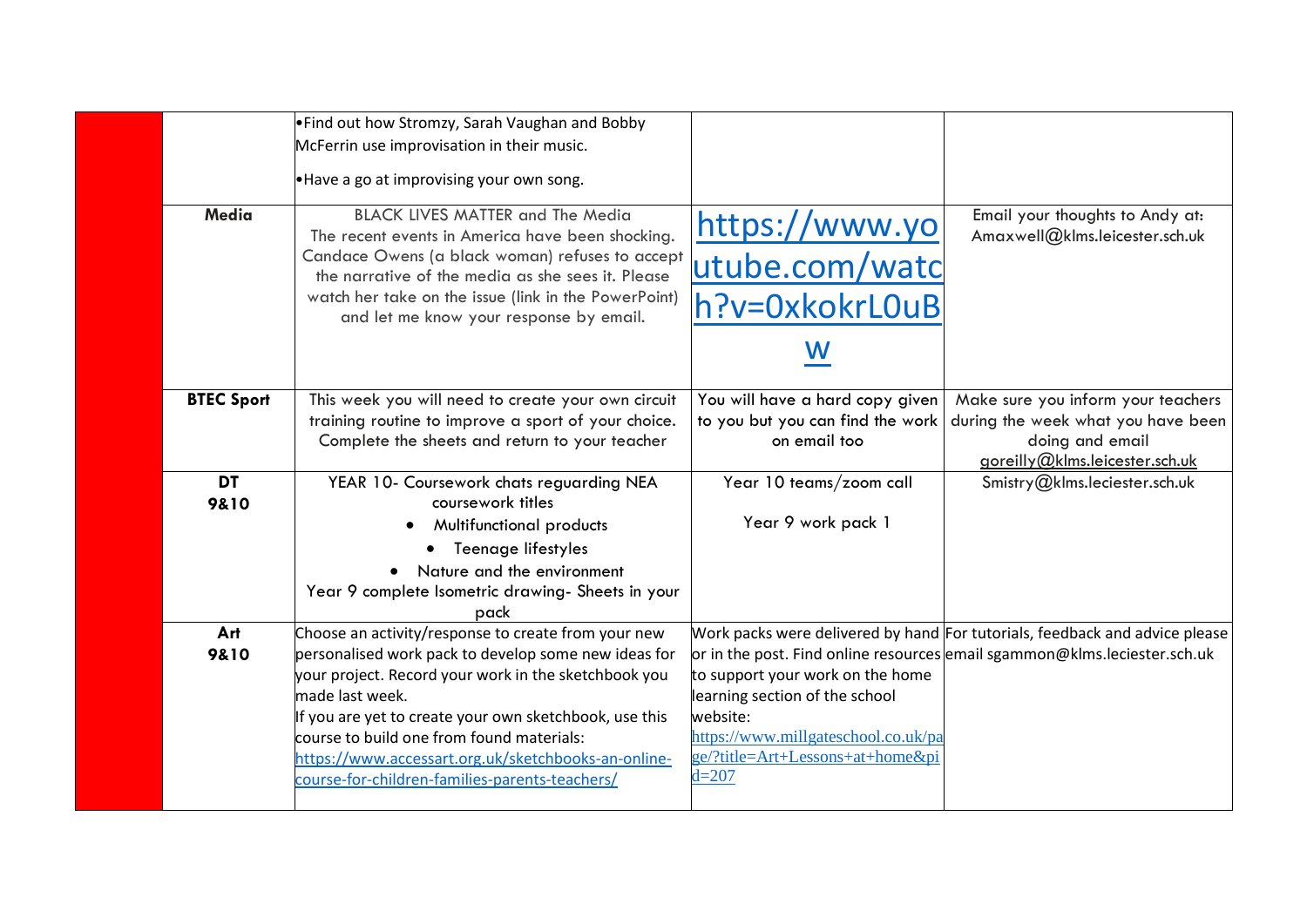|                   | . Find out how Stromzy, Sarah Vaughan and Bobby        |                                     |                                                                             |
|-------------------|--------------------------------------------------------|-------------------------------------|-----------------------------------------------------------------------------|
|                   | McFerrin use improvisation in their music.             |                                     |                                                                             |
|                   |                                                        |                                     |                                                                             |
|                   | .Have a go at improvising your own song.               |                                     |                                                                             |
| Media             | <b>BLACK LIVES MATTER and The Media</b>                |                                     | Email your thoughts to Andy at:                                             |
|                   | The recent events in America have been shocking.       | https://www.yo                      | Amaxwell@klms.leicester.sch.uk                                              |
|                   | Candace Owens (a black woman) refuses to accept        |                                     |                                                                             |
|                   | the narrative of the media as she sees it. Please      | utube.com/watc                      |                                                                             |
|                   | watch her take on the issue (link in the PowerPoint)   | h?v=0xkokrL0uB                      |                                                                             |
|                   | and let me know your response by email.                |                                     |                                                                             |
|                   |                                                        | W                                   |                                                                             |
|                   |                                                        |                                     |                                                                             |
| <b>BTEC Sport</b> | This week you will need to create your own circuit     | You will have a hard copy given     | Make sure you inform your teachers                                          |
|                   | training routine to improve a sport of your choice.    | to you but you can find the work    | during the week what you have been                                          |
|                   | Complete the sheets and return to your teacher         | on email too                        | doing and email                                                             |
|                   |                                                        |                                     | goreilly@klms.leicester.sch.uk                                              |
| <b>DT</b>         | YEAR 10- Coursework chats reguarding NEA               | Year 10 teams/zoom call             | Smistry@klms.leciester.sch.uk                                               |
| 9&10              | coursework titles                                      |                                     |                                                                             |
|                   | Multifunctional products                               | Year 9 work pack 1                  |                                                                             |
|                   | Teenage lifestyles                                     |                                     |                                                                             |
|                   | Nature and the environment                             |                                     |                                                                             |
|                   | Year 9 complete Isometric drawing- Sheets in your      |                                     |                                                                             |
|                   | pack                                                   |                                     |                                                                             |
| Art               | Choose an activity/response to create from your new    |                                     | Work packs were delivered by hand For tutorials, feedback and advice please |
| 9&10              | personalised work pack to develop some new ideas for   |                                     | or in the post. Find online resources email sgammon@klms.leciester.sch.uk   |
|                   | your project. Record your work in the sketchbook you   | to support your work on the home    |                                                                             |
|                   | made last week.                                        | learning section of the school      |                                                                             |
|                   | If you are yet to create your own sketchbook, use this | website:                            |                                                                             |
|                   | course to build one from found materials:              | https://www.millgateschool.co.uk/pa |                                                                             |
|                   | https://www.accessart.org.uk/sketchbooks-an-online-    | ge/?title=Art+Lessons+at+homeπ      |                                                                             |
|                   | course-for-children-families-parents-teachers/         | $d = 207$                           |                                                                             |
|                   |                                                        |                                     |                                                                             |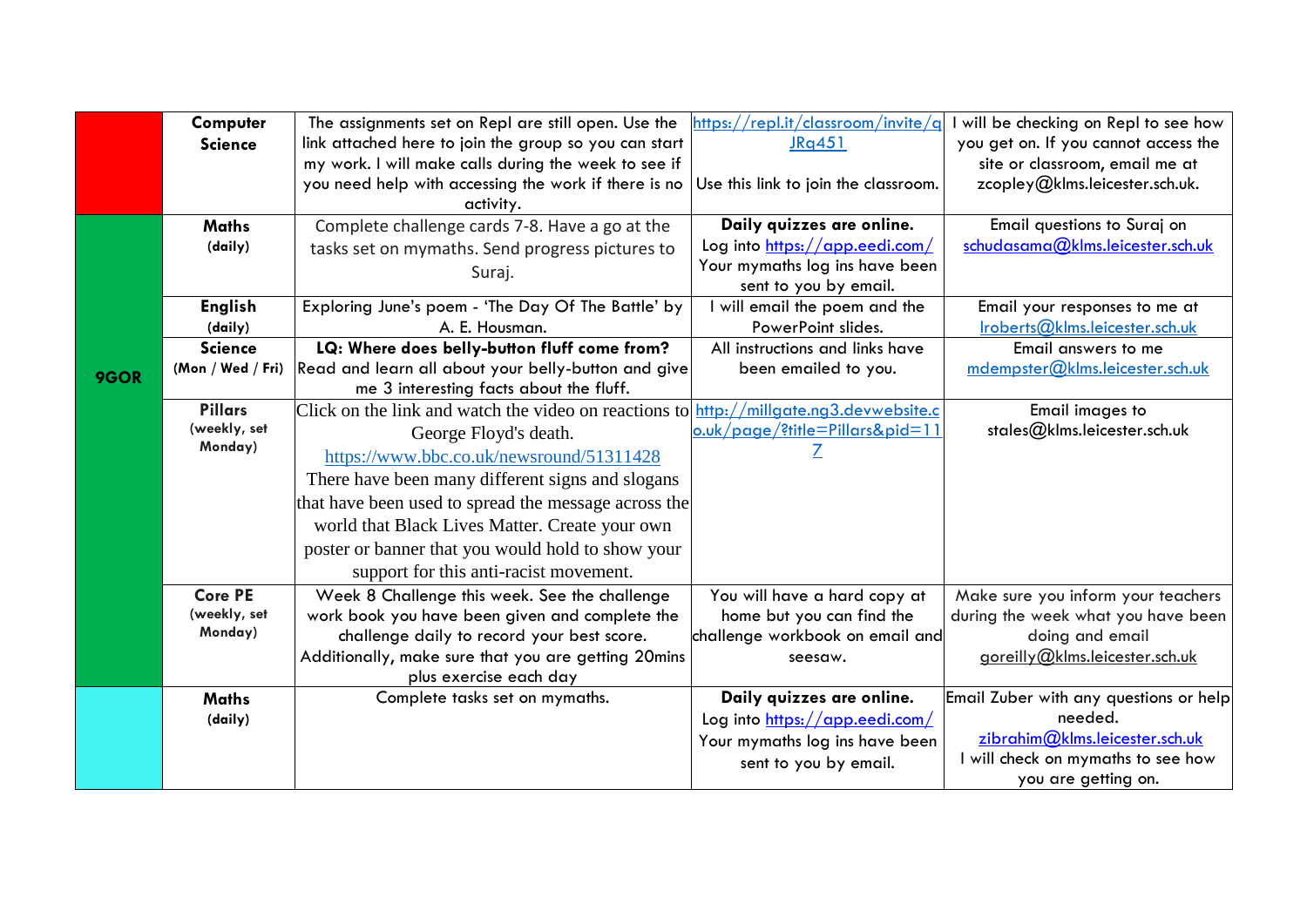|      | Computer                  | The assignments set on Repl are still open. Use the                                             | $\frac{https://repl.it/classroom/invite/q}{https://repl.it/classroom/invite/q}$ | I will be checking on Repl to see how                 |
|------|---------------------------|-------------------------------------------------------------------------------------------------|---------------------------------------------------------------------------------|-------------------------------------------------------|
|      | <b>Science</b>            | link attached here to join the group so you can start                                           | JRq451                                                                          | you get on. If you cannot access the                  |
|      |                           | my work. I will make calls during the week to see if                                            |                                                                                 | site or classroom, email me at                        |
|      |                           | you need help with accessing the work if there is no                                            | Use this link to join the classroom.                                            | zcopley@klms.leicester.sch.uk.                        |
|      |                           | activity.                                                                                       |                                                                                 |                                                       |
|      | <b>Maths</b>              | Complete challenge cards 7-8. Have a go at the                                                  | Daily quizzes are online.                                                       | Email questions to Suraj on                           |
|      | (daily)                   | tasks set on mymaths. Send progress pictures to                                                 | Log into https://app.eedi.com/                                                  | schudasama@klms.leicester.sch.uk                      |
|      |                           | Suraj.                                                                                          | Your mymaths log ins have been                                                  |                                                       |
|      |                           |                                                                                                 | sent to you by email.                                                           |                                                       |
|      | <b>English</b>            | Exploring June's poem - 'The Day Of The Battle' by<br>A. E. Housman.                            | I will email the poem and the<br>PowerPoint slides.                             | Email your responses to me at                         |
|      | (daily)<br><b>Science</b> | LQ: Where does belly-button fluff come from?                                                    | All instructions and links have                                                 | Iroberts@klms.leicester.sch.uk<br>Email answers to me |
|      | (Mon / Wed / Fri)         | Read and learn all about your belly-button and give                                             | been emailed to you.                                                            | mdempster@klms.leicester.sch.uk                       |
| 9GOR |                           | me 3 interesting facts about the fluff.                                                         |                                                                                 |                                                       |
|      | <b>Pillars</b>            | Click on the link and watch the video on reactions to $\frac{$ http://millgate.ng3.devwebsite.c |                                                                                 | Email images to                                       |
|      | (weekly, set              |                                                                                                 | <u>o.uk/page/?title=Pillars&amp;pid=11</u>                                      | stales@klms.leicester.sch.uk                          |
|      | Monday)                   | George Floyd's death.                                                                           | Z                                                                               |                                                       |
|      |                           | https://www.bbc.co.uk/newsround/51311428                                                        |                                                                                 |                                                       |
|      |                           | There have been many different signs and slogans                                                |                                                                                 |                                                       |
|      |                           | that have been used to spread the message across the                                            |                                                                                 |                                                       |
|      |                           | world that Black Lives Matter. Create your own                                                  |                                                                                 |                                                       |
|      |                           | poster or banner that you would hold to show your                                               |                                                                                 |                                                       |
|      |                           | support for this anti-racist movement.                                                          |                                                                                 |                                                       |
|      | <b>Core PE</b>            | Week 8 Challenge this week. See the challenge                                                   | You will have a hard copy at                                                    | Make sure you inform your teachers                    |
|      | (weekly, set              | work book you have been given and complete the                                                  | home but you can find the                                                       | during the week what you have been                    |
|      | Monday)                   | challenge daily to record your best score.                                                      | challenge workbook on email and                                                 | doing and email                                       |
|      |                           | Additionally, make sure that you are getting 20mins                                             | seesaw.                                                                         | goreilly@klms.leicester.sch.uk                        |
|      |                           | plus exercise each day                                                                          |                                                                                 |                                                       |
|      | <b>Maths</b>              | Complete tasks set on mymaths.                                                                  | Daily quizzes are online.                                                       | Email Zuber with any questions or help                |
|      | (daily)                   |                                                                                                 | Log into https://app.eedi.com/                                                  | needed.                                               |
|      |                           |                                                                                                 | Your mymaths log ins have been                                                  | zibrahim@klms.leicester.sch.uk                        |
|      |                           |                                                                                                 | sent to you by email.                                                           | I will check on mymaths to see how                    |
|      |                           |                                                                                                 |                                                                                 | you are getting on.                                   |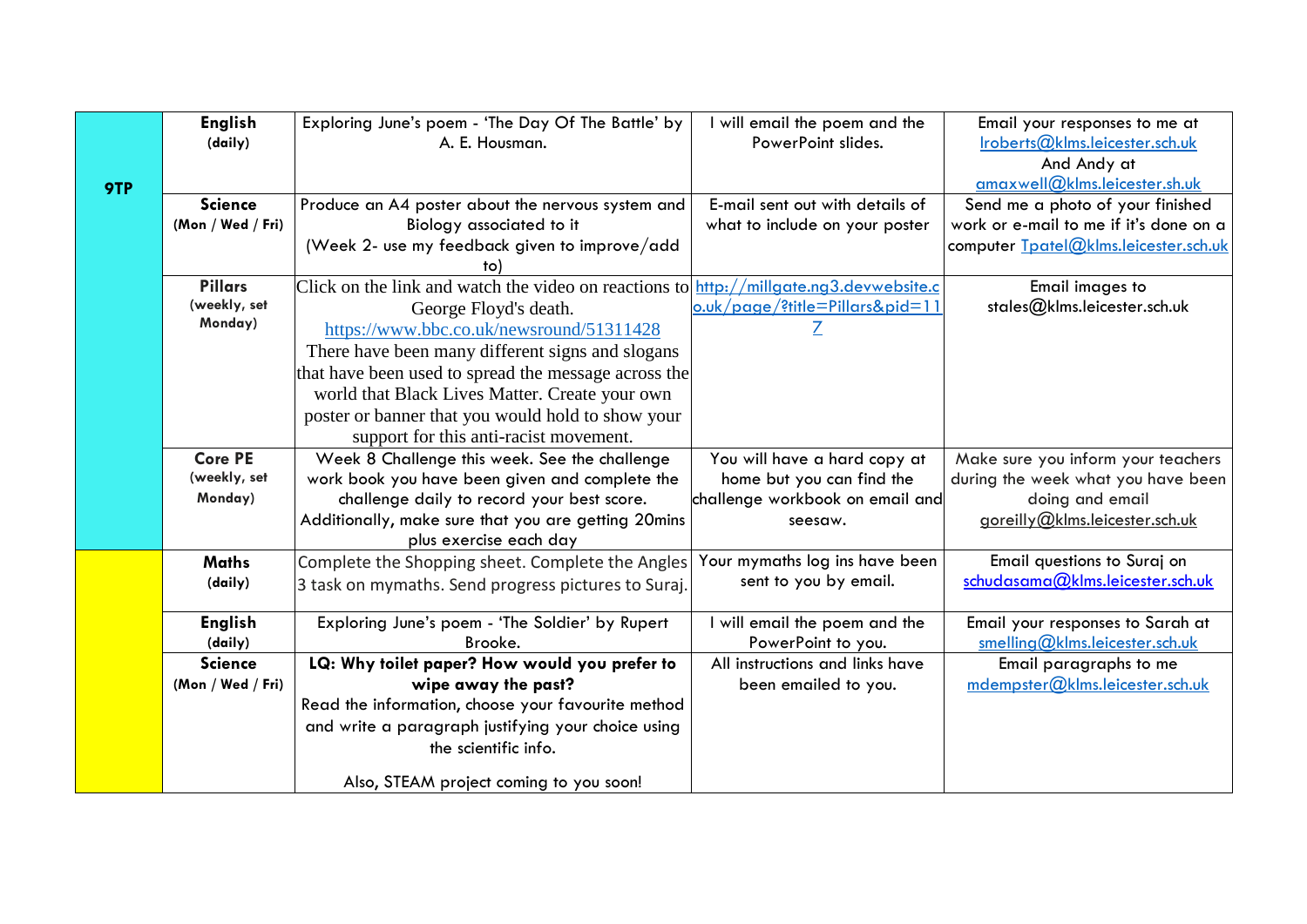|     | <b>English</b>            | Exploring June's poem - 'The Day Of The Battle' by                                     | I will email the poem and the                       | Email your responses to me at                                      |
|-----|---------------------------|----------------------------------------------------------------------------------------|-----------------------------------------------------|--------------------------------------------------------------------|
|     | (daily)                   | A. E. Housman.                                                                         | PowerPoint slides.                                  | lroberts@klms.eicester.sch.uk                                      |
|     |                           |                                                                                        |                                                     | And Andy at                                                        |
| 9TP |                           |                                                                                        |                                                     | amaxwell@klms.leicester.sh.uk                                      |
|     | <b>Science</b>            | Produce an A4 poster about the nervous system and                                      | E-mail sent out with details of                     | Send me a photo of your finished                                   |
|     | (Mon / Wed / Fri)         | Biology associated to it                                                               | what to include on your poster                      | work or e-mail to me if it's done on a                             |
|     |                           | (Week 2- use my feedback given to improve/add                                          |                                                     | computer Tpatel@klms.leicester.sch.uk                              |
|     |                           |                                                                                        |                                                     |                                                                    |
|     | <b>Pillars</b>            | Click on the link and watch the video on reactions to http://millgate.ng3.devwebsite.c |                                                     | Email images to                                                    |
|     | (weekly, set              | George Floyd's death.                                                                  | <u>o.uk/page/?title=Pillars&amp;pid=11</u>          | stales@klms.leicester.sch.uk                                       |
|     | Monday)                   | https://www.bbc.co.uk/newsround/51311428                                               |                                                     |                                                                    |
|     |                           | There have been many different signs and slogans                                       |                                                     |                                                                    |
|     |                           | that have been used to spread the message across the                                   |                                                     |                                                                    |
|     |                           | world that Black Lives Matter. Create your own                                         |                                                     |                                                                    |
|     |                           | poster or banner that you would hold to show your                                      |                                                     |                                                                    |
|     |                           | support for this anti-racist movement.                                                 |                                                     |                                                                    |
|     | <b>Core PE</b>            | Week 8 Challenge this week. See the challenge                                          | You will have a hard copy at                        | Make sure you inform your teachers                                 |
|     | (weekly, set              | work book you have been given and complete the                                         | home but you can find the                           | during the week what you have been                                 |
|     | Monday)                   | challenge daily to record your best score.                                             | challenge workbook on email and                     | doing and email                                                    |
|     |                           | Additionally, make sure that you are getting 20mins                                    | seesaw.                                             | goreilly@klms.leicester.sch.uk                                     |
|     |                           | plus exercise each day                                                                 |                                                     |                                                                    |
|     | <b>Maths</b>              | Complete the Shopping sheet. Complete the Angles                                       | Your mymaths log ins have been                      | Email questions to Suraj on                                        |
|     | (daily)                   | 3 task on mymaths. Send progress pictures to Suraj.                                    | sent to you by email.                               | schudasama@klms.leicester.sch.uk                                   |
|     |                           |                                                                                        |                                                     |                                                                    |
|     | <b>English</b><br>(daily) | Exploring June's poem - 'The Soldier' by Rupert<br>Brooke.                             | I will email the poem and the<br>PowerPoint to you. | Email your responses to Sarah at<br>smelling@klms.leicester.sch.uk |
|     | <b>Science</b>            | LQ: Why toilet paper? How would you prefer to                                          | All instructions and links have                     | Email paragraphs to me                                             |
|     | (Mon / Wed / Fri)         | wipe away the past?                                                                    | been emailed to you.                                | mdempster@klms.leicester.sch.uk                                    |
|     |                           | Read the information, choose your favourite method                                     |                                                     |                                                                    |
|     |                           | and write a paragraph justifying your choice using                                     |                                                     |                                                                    |
|     |                           | the scientific info.                                                                   |                                                     |                                                                    |
|     |                           |                                                                                        |                                                     |                                                                    |
|     |                           | Also, STEAM project coming to you soon!                                                |                                                     |                                                                    |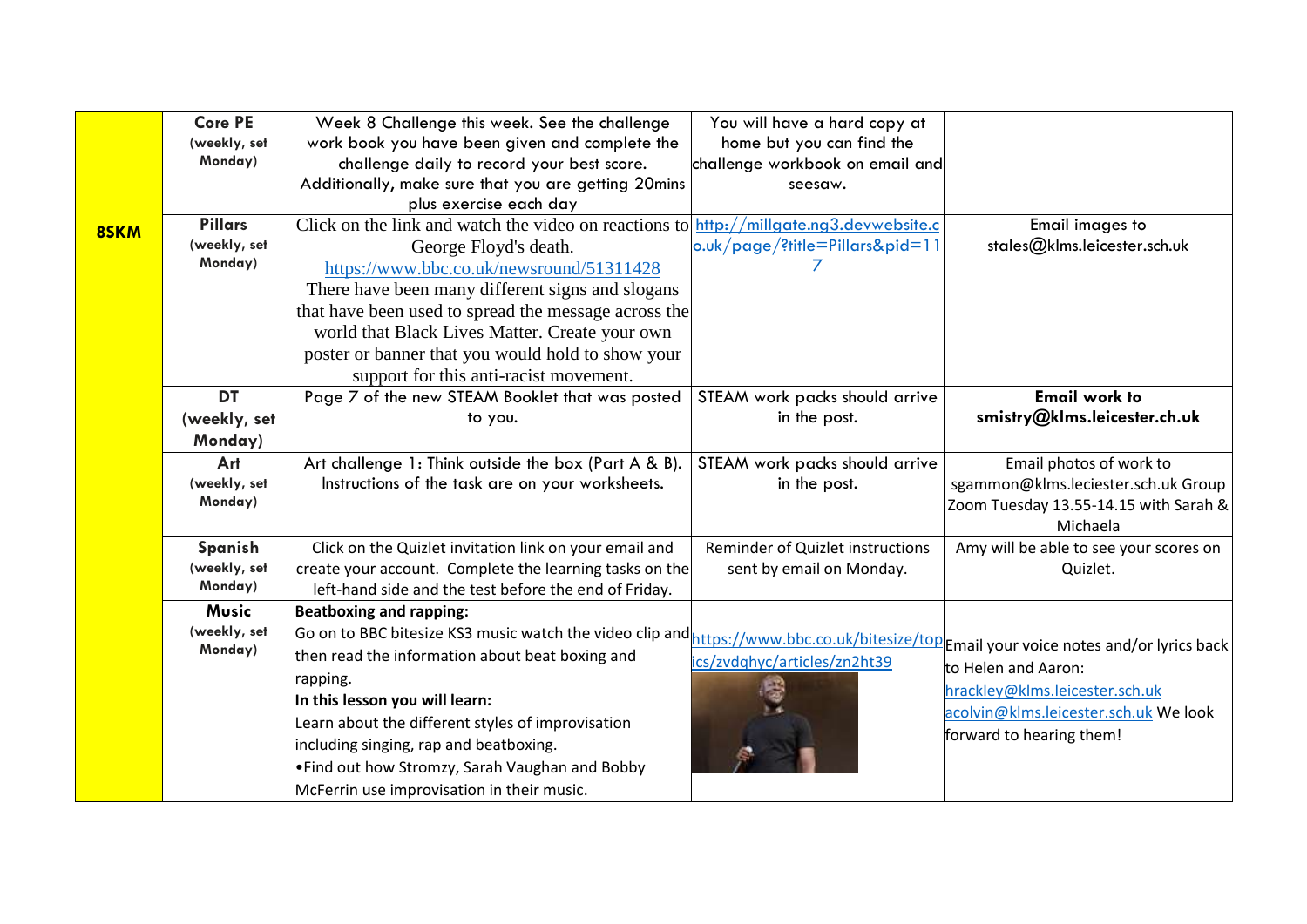|      | <b>Core PE</b> | Week 8 Challenge this week. See the challenge                                                                                         | You will have a hard copy at               |                                        |
|------|----------------|---------------------------------------------------------------------------------------------------------------------------------------|--------------------------------------------|----------------------------------------|
|      | (weekly, set   | work book you have been given and complete the                                                                                        | home but you can find the                  |                                        |
|      | Monday)        | challenge daily to record your best score.                                                                                            | challenge workbook on email and            |                                        |
|      |                | Additionally, make sure that you are getting 20mins                                                                                   | seesaw.                                    |                                        |
|      |                | plus exercise each day                                                                                                                |                                            |                                        |
| 8SKM | <b>Pillars</b> | Click on the link and watch the video on reactions to http://millgate.ng3.devwebsite.c                                                |                                            | Email images to                        |
|      | (weekly, set   | George Floyd's death.                                                                                                                 | <u>o.uk/page/?title=Pillars&amp;pid=11</u> | stales@klms.leicester.sch.uk           |
|      | Monday)        | https://www.bbc.co.uk/newsround/51311428                                                                                              |                                            |                                        |
|      |                | There have been many different signs and slogans                                                                                      |                                            |                                        |
|      |                | that have been used to spread the message across the                                                                                  |                                            |                                        |
|      |                | world that Black Lives Matter. Create your own                                                                                        |                                            |                                        |
|      |                | poster or banner that you would hold to show your                                                                                     |                                            |                                        |
|      |                | support for this anti-racist movement.                                                                                                |                                            |                                        |
|      | <b>DT</b>      | Page 7 of the new STEAM Booklet that was posted                                                                                       | STEAM work packs should arrive             | <b>Email work to</b>                   |
|      | (weekly, set   | to you.                                                                                                                               | in the post.                               | smistry@klms.leicester.ch.uk           |
|      | Monday)        |                                                                                                                                       |                                            |                                        |
|      | Art            | Art challenge 1: Think outside the box (Part A & B).                                                                                  | STEAM work packs should arrive             | Email photos of work to                |
|      | (weekly, set   | Instructions of the task are on your worksheets.                                                                                      | in the post.                               | sgammon@klms.leciester.sch.uk Group    |
|      | Monday)        |                                                                                                                                       |                                            | Zoom Tuesday 13.55-14.15 with Sarah &  |
|      |                |                                                                                                                                       |                                            | Michaela                               |
|      | Spanish        | Click on the Quizlet invitation link on your email and                                                                                | Reminder of Quizlet instructions           | Amy will be able to see your scores on |
|      | (weekly, set   | create your account. Complete the learning tasks on the                                                                               | sent by email on Monday.                   | Quizlet.                               |
|      | Monday)        | left-hand side and the test before the end of Friday.                                                                                 |                                            |                                        |
|      | <b>Music</b>   | <b>Beatboxing and rapping:</b>                                                                                                        |                                            |                                        |
|      | (weekly, set   | Go on to BBC bitesize KS3 music watch the video clip and https://www.bbc.co.uk/bitesize/top Email your voice notes and/or lyrics back |                                            |                                        |
|      | Monday)        | then read the information about beat boxing and                                                                                       | ics/zvdqhyc/articles/zn2ht39               | to Helen and Aaron:                    |
|      |                | rapping.                                                                                                                              |                                            | hrackley@klms.leicester.sch.uk         |
|      |                | In this lesson you will learn:                                                                                                        |                                            | acolvin@klms.leicester.sch.uk We look  |
|      |                | Learn about the different styles of improvisation                                                                                     |                                            |                                        |
|      |                | including singing, rap and beatboxing.                                                                                                |                                            | forward to hearing them!               |
|      |                | •Find out how Stromzy, Sarah Vaughan and Bobby                                                                                        |                                            |                                        |
|      |                | McFerrin use improvisation in their music.                                                                                            |                                            |                                        |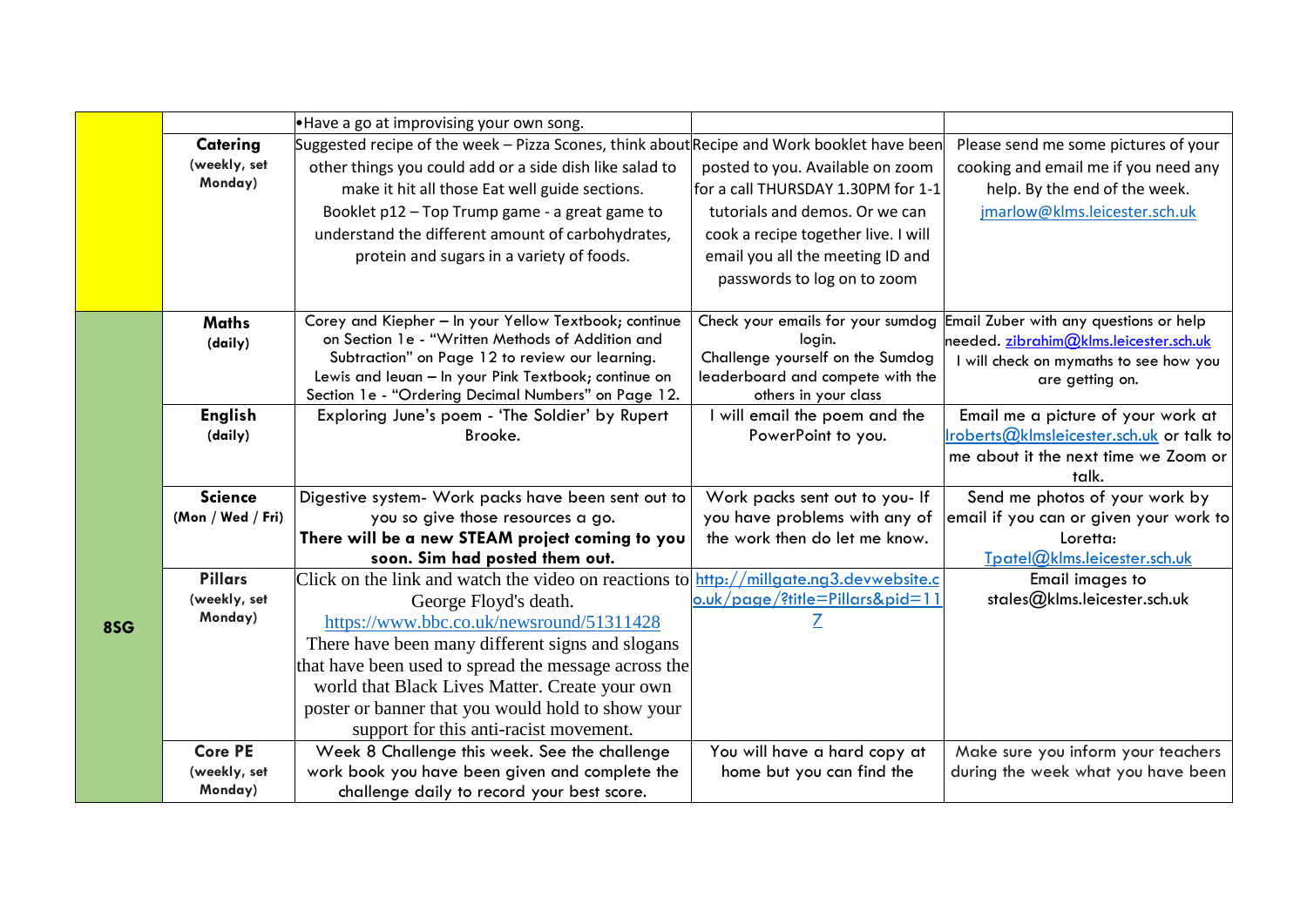|     |                   | .Have a go at improvising your own song.                                                                    |                                                          |                                          |
|-----|-------------------|-------------------------------------------------------------------------------------------------------------|----------------------------------------------------------|------------------------------------------|
|     | Catering          | Suggested recipe of the week – Pizza Scones, think about Recipe and Work booklet have been                  |                                                          | Please send me some pictures of your     |
|     | (weekly, set      | other things you could add or a side dish like salad to                                                     | posted to you. Available on zoom                         | cooking and email me if you need any     |
|     | Monday)           | make it hit all those Eat well guide sections.                                                              | for a call THURSDAY 1.30PM for 1-1                       | help. By the end of the week.            |
|     |                   | Booklet p12 - Top Trump game - a great game to                                                              | tutorials and demos. Or we can                           | jmarlow@klms.leicester.sch.uk            |
|     |                   | understand the different amount of carbohydrates,                                                           | cook a recipe together live. I will                      |                                          |
|     |                   | protein and sugars in a variety of foods.                                                                   | email you all the meeting ID and                         |                                          |
|     |                   |                                                                                                             | passwords to log on to zoom                              |                                          |
|     |                   |                                                                                                             |                                                          |                                          |
|     | <b>Maths</b>      | Corey and Kiepher - In your Yellow Textbook; continue                                                       | Check your emails for your sumdog                        | Email Zuber with any questions or help   |
|     | (daily)           | on Section 1e - "Written Methods of Addition and                                                            | login.                                                   | needed. zibrahim@klms.leicester.sch.uk   |
|     |                   | Subtraction" on Page 12 to review our learning.                                                             | Challenge yourself on the Sumdog                         | I will check on mymaths to see how you   |
|     |                   | Lewis and leuan - In your Pink Textbook; continue on<br>Section 1e - "Ordering Decimal Numbers" on Page 12. | leaderboard and compete with the<br>others in your class | are getting on.                          |
|     | <b>English</b>    | Exploring June's poem - 'The Soldier' by Rupert                                                             | I will email the poem and the                            | Email me a picture of your work at       |
|     | (daily)           | Brooke.                                                                                                     | PowerPoint to you.                                       | Iroberts@kImsleicester.sch.uk or talk to |
|     |                   |                                                                                                             |                                                          | me about it the next time we Zoom or     |
|     |                   |                                                                                                             |                                                          | talk.                                    |
|     | <b>Science</b>    | Digestive system- Work packs have been sent out to                                                          | Work packs sent out to you- If                           | Send me photos of your work by           |
|     | (Mon / Wed / Fri) | you so give those resources a go.                                                                           | you have problems with any of                            | email if you can or given your work to   |
|     |                   | There will be a new STEAM project coming to you                                                             | the work then do let me know.                            | Loretta:                                 |
|     |                   | soon. Sim had posted them out.                                                                              |                                                          | Tpatel@klms.leicester.sch.uk             |
|     | <b>Pillars</b>    | Click on the link and watch the video on reactions to $\frac{$ http://millgate.ng3.devwebsite.c             |                                                          | Email images to                          |
|     | (weekly, set      | George Floyd's death.                                                                                       | o.uk/page/?title=Pillars&pid=11                          | stales@klms.leicester.sch.uk             |
| 8SG | Monday)           | https://www.bbc.co.uk/newsround/51311428                                                                    |                                                          |                                          |
|     |                   | There have been many different signs and slogans                                                            |                                                          |                                          |
|     |                   | that have been used to spread the message across the                                                        |                                                          |                                          |
|     |                   | world that Black Lives Matter. Create your own                                                              |                                                          |                                          |
|     |                   | poster or banner that you would hold to show your                                                           |                                                          |                                          |
|     |                   | support for this anti-racist movement.                                                                      |                                                          |                                          |
|     | <b>Core PE</b>    | Week 8 Challenge this week. See the challenge                                                               | You will have a hard copy at                             | Make sure you inform your teachers       |
|     | (weekly, set      | work book you have been given and complete the                                                              | home but you can find the                                | during the week what you have been       |
|     | Monday)           | challenge daily to record your best score.                                                                  |                                                          |                                          |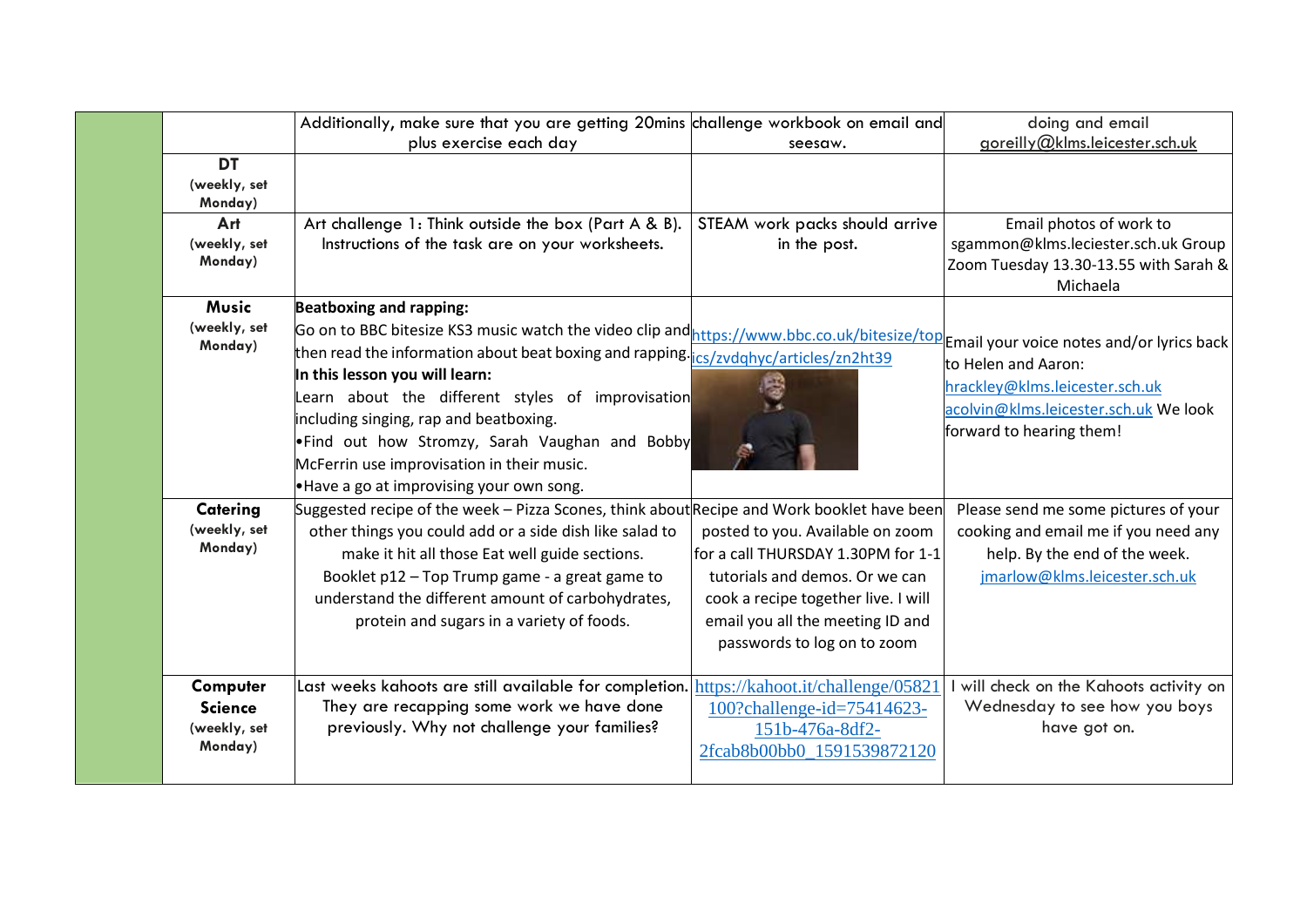|                                                       | Additionally, make sure that you are getting 20mins challenge workbook on email and                                                                                                                                                                                                                                                                                                                                                                                                                                                                    |                                                                                                                                                                                                                    | doing and email                                                                                                                                |
|-------------------------------------------------------|--------------------------------------------------------------------------------------------------------------------------------------------------------------------------------------------------------------------------------------------------------------------------------------------------------------------------------------------------------------------------------------------------------------------------------------------------------------------------------------------------------------------------------------------------------|--------------------------------------------------------------------------------------------------------------------------------------------------------------------------------------------------------------------|------------------------------------------------------------------------------------------------------------------------------------------------|
|                                                       | plus exercise each day                                                                                                                                                                                                                                                                                                                                                                                                                                                                                                                                 | seesaw.                                                                                                                                                                                                            | goreilly@klms.leicester.sch.uk                                                                                                                 |
| <b>DT</b><br>(weekly, set<br>Monday)                  |                                                                                                                                                                                                                                                                                                                                                                                                                                                                                                                                                        |                                                                                                                                                                                                                    |                                                                                                                                                |
| Art<br>(weekly, set<br>Monday)                        | Art challenge 1: Think outside the box (Part A & B).<br>Instructions of the task are on your worksheets.                                                                                                                                                                                                                                                                                                                                                                                                                                               | STEAM work packs should arrive<br>in the post.                                                                                                                                                                     | Email photos of work to<br>sgammon@klms.leciester.sch.uk Group<br>Zoom Tuesday 13.30-13.55 with Sarah &<br>Michaela                            |
| <b>Music</b><br>(weekly, set<br>Monday)               | <b>Beatboxing and rapping:</b><br>Go on to BBC bitesize KS3 music watch the video clip and https://www.bbc.co.uk/bitesize/top Email your voice notes and/or lyrics back<br>then read the information about beat boxing and rapping. lost and the establishing the inter-<br>In this lesson you will learn:<br>Learn about the different styles of improvisation<br>including singing, rap and beatboxing.<br>. Find out how Stromzy, Sarah Vaughan and Bobby<br>McFerrin use improvisation in their music.<br>.Have a go at improvising your own song. |                                                                                                                                                                                                                    | to Helen and Aaron:<br>hrackley@klms.leicester.sch.uk<br>acolvin@klms.leicester.sch.uk We look<br>forward to hearing them!                     |
| Catering<br>(weekly, set<br>Monday)                   | Suggested recipe of the week - Pizza Scones, think about Recipe and Work booklet have been<br>other things you could add or a side dish like salad to<br>make it hit all those Eat well guide sections.<br>Booklet p12 - Top Trump game - a great game to<br>understand the different amount of carbohydrates,<br>protein and sugars in a variety of foods.                                                                                                                                                                                            | posted to you. Available on zoom<br>for a call THURSDAY 1.30PM for 1-1<br>tutorials and demos. Or we can<br>cook a recipe together live. I will<br>email you all the meeting ID and<br>passwords to log on to zoom | Please send me some pictures of your<br>cooking and email me if you need any<br>help. By the end of the week.<br>jmarlow@klms.leicester.sch.uk |
| Computer<br><b>Science</b><br>(weekly, set<br>Monday) | Last weeks kahoots are still available for completion. https://kahoot.it/challenge/05821<br>They are recapping some work we have done<br>previously. Why not challenge your families?                                                                                                                                                                                                                                                                                                                                                                  | 100?challenge-id=75414623-<br>151b-476a-8df2-<br>2fcab8b00bb0 1591539872120                                                                                                                                        | will check on the Kahoots activity on<br>Wednesday to see how you boys<br>have got on.                                                         |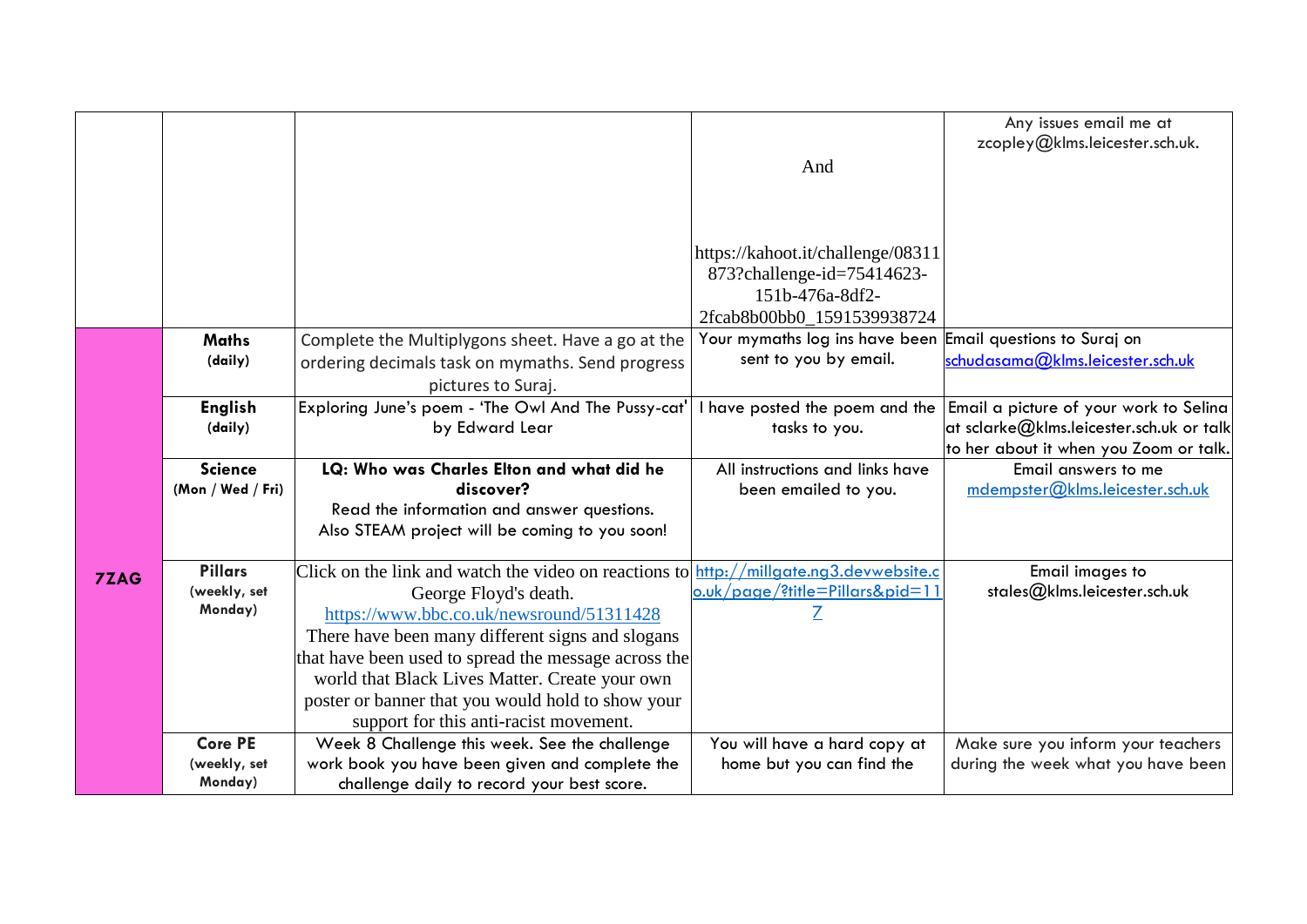|             |                                     |                                                                                                 |                                                            | Any issues email me at<br>zcopley@klms.leicester.sch.uk. |
|-------------|-------------------------------------|-------------------------------------------------------------------------------------------------|------------------------------------------------------------|----------------------------------------------------------|
|             |                                     |                                                                                                 | And                                                        |                                                          |
|             |                                     |                                                                                                 |                                                            |                                                          |
|             |                                     |                                                                                                 |                                                            |                                                          |
|             |                                     |                                                                                                 |                                                            |                                                          |
|             |                                     |                                                                                                 | https://kahoot.it/challenge/08311                          |                                                          |
|             |                                     |                                                                                                 | 873?challenge-id=75414623-<br>151b-476a-8df2-              |                                                          |
|             |                                     |                                                                                                 | 2fcab8b00bb0_1591539938724                                 |                                                          |
|             | <b>Maths</b>                        | Complete the Multiplygons sheet. Have a go at the                                               | Your mymaths log ins have been Email questions to Suraj on |                                                          |
|             | (daily)                             | ordering decimals task on mymaths. Send progress                                                | sent to you by email.                                      | schudasama@klms.leicester.sch.uk                         |
|             |                                     | pictures to Suraj.                                                                              |                                                            |                                                          |
|             | <b>English</b>                      | Exploring June's poem - 'The Owl And The Pussy-cat'                                             | have posted the poem and the                               | Email a picture of your work to Selina                   |
|             | (daily)                             | by Edward Lear                                                                                  | tasks to you.                                              | at sclarke $@$ klms.leicester.sch.uk or talk             |
|             |                                     |                                                                                                 |                                                            | to her about it when you Zoom or talk.                   |
|             | <b>Science</b><br>(Mon / Wed / Fri) | LQ: Who was Charles Elton and what did he<br>discover?                                          | All instructions and links have<br>been emailed to you.    | Email answers to me<br>mdempster@klms.leicester.sch.uk   |
|             |                                     | Read the information and answer questions.                                                      |                                                            |                                                          |
|             |                                     |                                                                                                 |                                                            |                                                          |
|             |                                     | Also STEAM project will be coming to you soon!                                                  |                                                            |                                                          |
|             |                                     |                                                                                                 |                                                            |                                                          |
| <b>7ZAG</b> | <b>Pillars</b>                      | Click on the link and watch the video on reactions to $\frac{$ http://millgate.ng3.devwebsite.c |                                                            | Email images to                                          |
|             | (weekly, set                        | George Floyd's death.                                                                           | o.uk/page/?title=Pillars&pid=11                            | stales@klms.leicester.sch.uk                             |
|             | Monday)                             | https://www.bbc.co.uk/newsround/51311428                                                        |                                                            |                                                          |
|             |                                     | There have been many different signs and slogans                                                |                                                            |                                                          |
|             |                                     | that have been used to spread the message across the                                            |                                                            |                                                          |
|             |                                     | world that Black Lives Matter. Create your own                                                  |                                                            |                                                          |
|             |                                     | poster or banner that you would hold to show your                                               |                                                            |                                                          |
|             |                                     | support for this anti-racist movement.                                                          |                                                            |                                                          |
|             | <b>Core PE</b>                      | Week 8 Challenge this week. See the challenge                                                   | You will have a hard copy at                               | Make sure you inform your teachers                       |
|             | (weekly, set<br>Monday)             | work book you have been given and complete the<br>challenge daily to record your best score.    | home but you can find the                                  | during the week what you have been                       |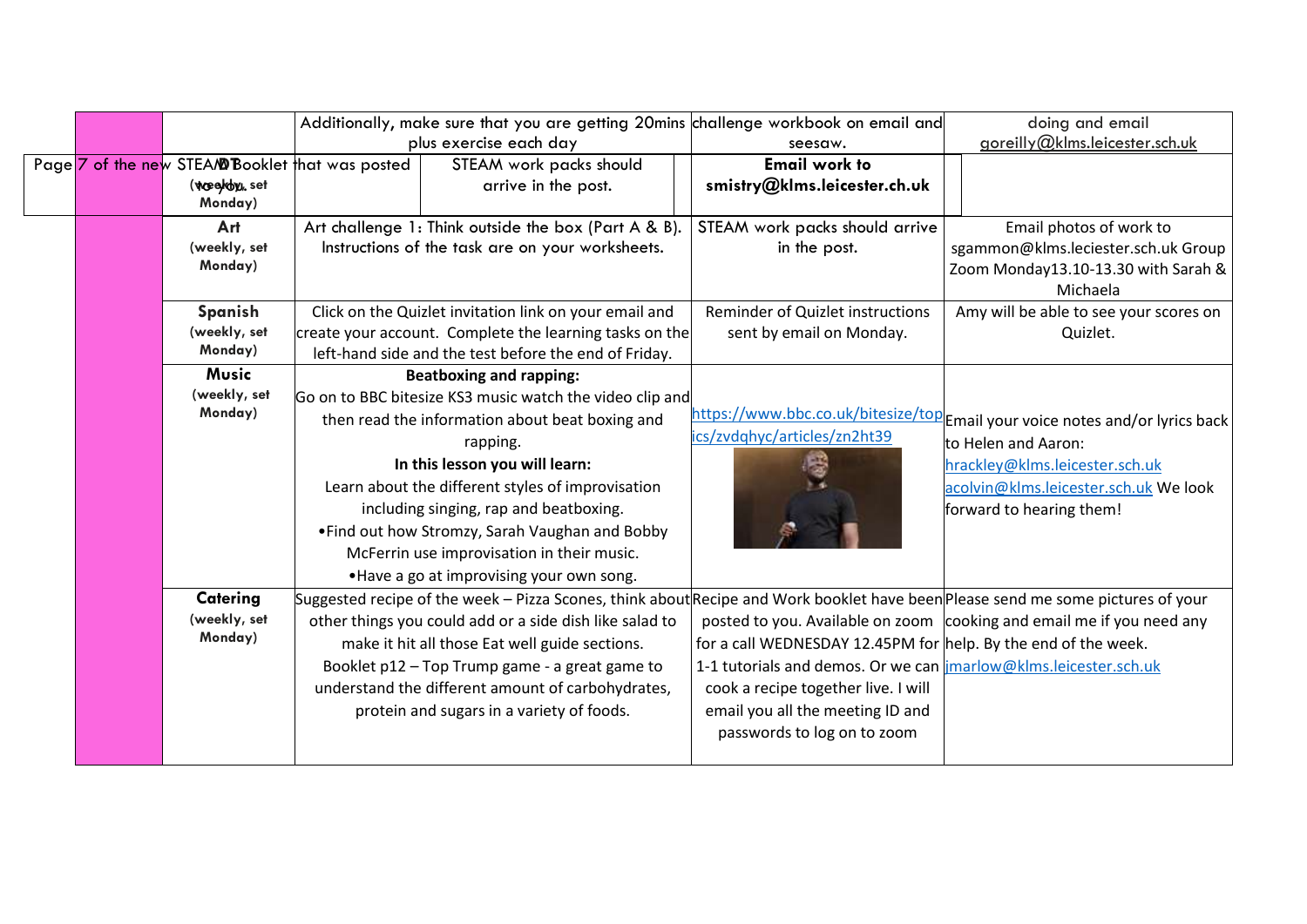|  |         |                                                 |                                                                                                                                                                                                                                                          | Additionally, make sure that you are getting 20mins challenge workbook on email and                                                                                                                                                                                                                                                                                                              |                                                                                                                                                                                                                                              | doing and email                                                                                                                                                                                                    |
|--|---------|-------------------------------------------------|----------------------------------------------------------------------------------------------------------------------------------------------------------------------------------------------------------------------------------------------------------|--------------------------------------------------------------------------------------------------------------------------------------------------------------------------------------------------------------------------------------------------------------------------------------------------------------------------------------------------------------------------------------------------|----------------------------------------------------------------------------------------------------------------------------------------------------------------------------------------------------------------------------------------------|--------------------------------------------------------------------------------------------------------------------------------------------------------------------------------------------------------------------|
|  |         |                                                 | plus exercise each day                                                                                                                                                                                                                                   |                                                                                                                                                                                                                                                                                                                                                                                                  | seesaw.                                                                                                                                                                                                                                      | goreilly@klms.leicester.sch.uk                                                                                                                                                                                     |
|  |         | Page 7 of the new STEA/@Booklet that was posted |                                                                                                                                                                                                                                                          | STEAM work packs should                                                                                                                                                                                                                                                                                                                                                                          | <b>Email work to</b>                                                                                                                                                                                                                         |                                                                                                                                                                                                                    |
|  |         | (weed by, set<br>Monday)                        |                                                                                                                                                                                                                                                          | arrive in the post.                                                                                                                                                                                                                                                                                                                                                                              | smistry@klms.leicester.ch.uk                                                                                                                                                                                                                 |                                                                                                                                                                                                                    |
|  |         | Art                                             |                                                                                                                                                                                                                                                          | Art challenge 1: Think outside the box (Part A & B).                                                                                                                                                                                                                                                                                                                                             | STEAM work packs should arrive                                                                                                                                                                                                               | Email photos of work to                                                                                                                                                                                            |
|  |         | (weekly, set<br>Monday)                         | Instructions of the task are on your worksheets.                                                                                                                                                                                                         |                                                                                                                                                                                                                                                                                                                                                                                                  | in the post.                                                                                                                                                                                                                                 | sgammon@klms.leciester.sch.uk Group<br>Zoom Monday13.10-13.30 with Sarah &<br>Michaela                                                                                                                             |
|  | Spanish |                                                 |                                                                                                                                                                                                                                                          | Click on the Quizlet invitation link on your email and                                                                                                                                                                                                                                                                                                                                           | Reminder of Quizlet instructions                                                                                                                                                                                                             | Amy will be able to see your scores on                                                                                                                                                                             |
|  |         | (weekly, set<br>Monday)                         | create your account. Complete the learning tasks on the<br>left-hand side and the test before the end of Friday.                                                                                                                                         |                                                                                                                                                                                                                                                                                                                                                                                                  | sent by email on Monday.                                                                                                                                                                                                                     | Quizlet.                                                                                                                                                                                                           |
|  |         | <b>Music</b><br><b>Beatboxing and rapping:</b>  |                                                                                                                                                                                                                                                          |                                                                                                                                                                                                                                                                                                                                                                                                  |                                                                                                                                                                                                                                              |                                                                                                                                                                                                                    |
|  |         | (weekly, set<br>Monday)                         | Go on to BBC bitesize KS3 music watch the video clip and<br>then read the information about beat boxing and<br>rapping.<br>In this lesson you will learn:<br>Learn about the different styles of improvisation<br>including singing, rap and beatboxing. |                                                                                                                                                                                                                                                                                                                                                                                                  | ics/zvdghyc/articles/zn2ht39                                                                                                                                                                                                                 | https://www.bbc.co.uk/bitesize/top <b>e</b> mail your voice notes and/or lyrics back<br>to Helen and Aaron:<br>hrackley@klms.leicester.sch.uk<br>acolvin@klms.leicester.sch.uk We look<br>forward to hearing them! |
|  |         |                                                 |                                                                                                                                                                                                                                                          | • Find out how Stromzy, Sarah Vaughan and Bobby<br>McFerrin use improvisation in their music.<br>. Have a go at improvising your own song.                                                                                                                                                                                                                                                       |                                                                                                                                                                                                                                              |                                                                                                                                                                                                                    |
|  |         | Catering<br>(weekly, set<br>Monday)             |                                                                                                                                                                                                                                                          | Suggested recipe of the week – Pizza Scones, think about Recipe and Work booklet have been Please send me some pictures of your<br>other things you could add or a side dish like salad to<br>make it hit all those Eat well guide sections.<br>Booklet p12 - Top Trump game - a great game to<br>understand the different amount of carbohydrates,<br>protein and sugars in a variety of foods. | for a call WEDNESDAY 12.45PM for help. By the end of the week.<br>1-1 tutorials and demos. Or we can imarlow@klms.leicester.sch.uk<br>cook a recipe together live. I will<br>email you all the meeting ID and<br>passwords to log on to zoom | posted to you. Available on zoom cooking and email me if you need any                                                                                                                                              |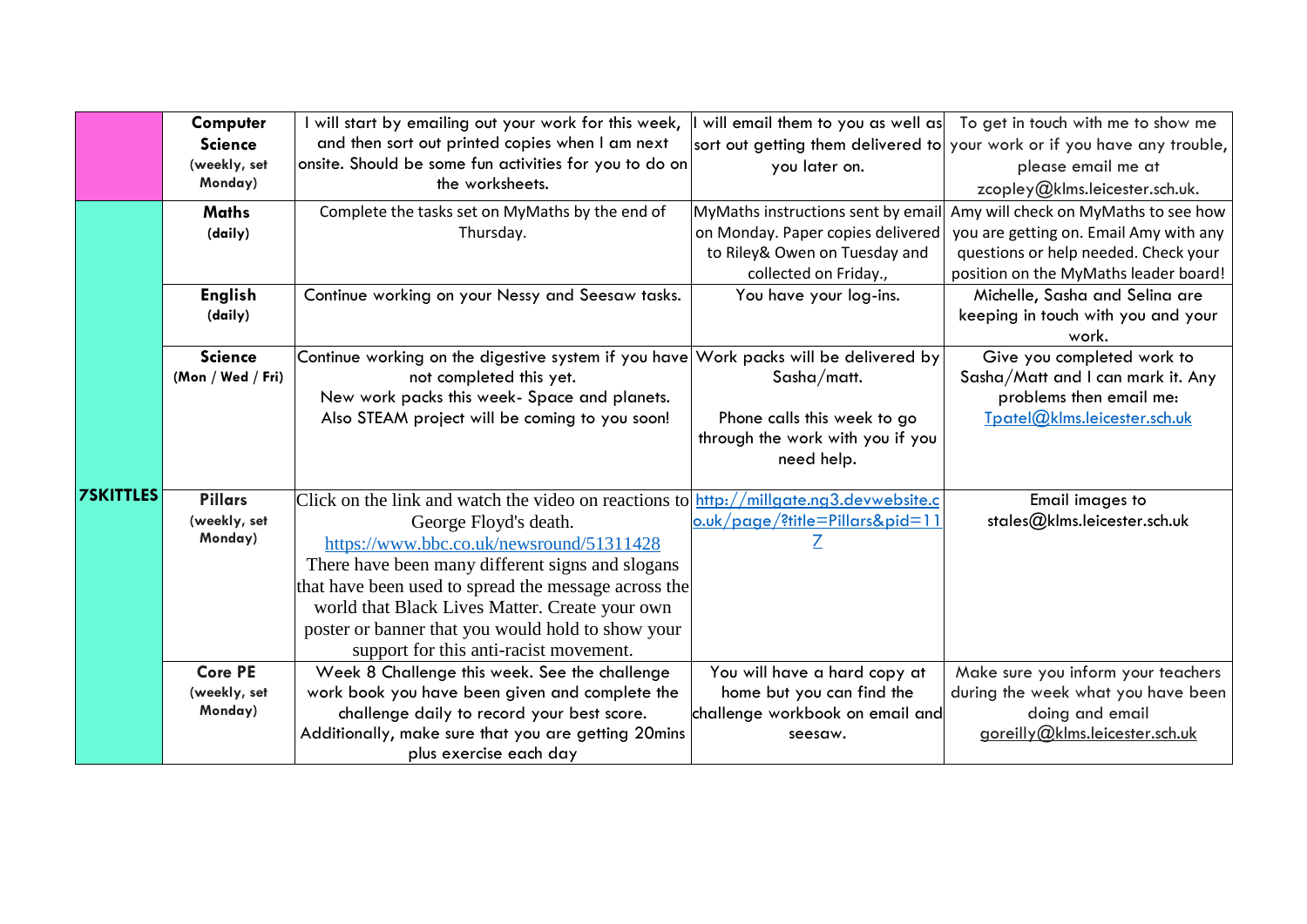|                  | Computer          | I will start by emailing out your work for this week,                                  | will email them to you as well as  | To get in touch with me to show me                                       |
|------------------|-------------------|----------------------------------------------------------------------------------------|------------------------------------|--------------------------------------------------------------------------|
|                  | <b>Science</b>    | and then sort out printed copies when I am next                                        |                                    | sort out getting them delivered to your work or if you have any trouble, |
|                  | (weekly, set      | onsite. Should be some fun activities for you to do on                                 | you later on.                      | please email me at                                                       |
|                  | Monday)           | the worksheets.                                                                        |                                    | zcopley@klms.leicester.sch.uk.                                           |
|                  | <b>Maths</b>      | Complete the tasks set on MyMaths by the end of                                        | MyMaths instructions sent by email | Amy will check on MyMaths to see how                                     |
|                  | (daily)           | Thursday.                                                                              | on Monday. Paper copies delivered  | you are getting on. Email Amy with any                                   |
|                  |                   |                                                                                        | to Riley& Owen on Tuesday and      | questions or help needed. Check your                                     |
|                  |                   |                                                                                        | collected on Friday.,              | position on the MyMaths leader board!                                    |
|                  | <b>English</b>    | Continue working on your Nessy and Seesaw tasks.                                       | You have your log-ins.             | Michelle, Sasha and Selina are                                           |
|                  | (daily)           |                                                                                        |                                    | keeping in touch with you and your                                       |
|                  |                   |                                                                                        |                                    | work.                                                                    |
|                  | <b>Science</b>    | Continue working on the digestive system if you have Work packs will be delivered by   |                                    | Give you completed work to                                               |
|                  | (Mon / Wed / Fri) | not completed this yet.                                                                | Sasha/matt.                        | Sasha/Matt and I can mark it. Any                                        |
|                  |                   | New work packs this week- Space and planets.                                           |                                    | problems then email me:                                                  |
|                  |                   | Also STEAM project will be coming to you soon!                                         | Phone calls this week to go        | Tpatel@klms.leicester.sch.uk                                             |
|                  |                   |                                                                                        | through the work with you if you   |                                                                          |
|                  |                   |                                                                                        | need help.                         |                                                                          |
| <b>7SKITTLES</b> | <b>Pillars</b>    | Click on the link and watch the video on reactions to http://millgate.ng3.devwebsite.c |                                    |                                                                          |
|                  | (weekly, set      |                                                                                        | o.uk/page/?title=Pillars&pid=11    | Email images to<br>stales@klms.leicester.sch.uk                          |
|                  | Monday)           | George Floyd's death.                                                                  |                                    |                                                                          |
|                  |                   | https://www.bbc.co.uk/newsround/51311428                                               |                                    |                                                                          |
|                  |                   | There have been many different signs and slogans                                       |                                    |                                                                          |
|                  |                   | that have been used to spread the message across the                                   |                                    |                                                                          |
|                  |                   | world that Black Lives Matter. Create your own                                         |                                    |                                                                          |
|                  |                   | poster or banner that you would hold to show your                                      |                                    |                                                                          |
|                  |                   | support for this anti-racist movement.                                                 |                                    |                                                                          |
|                  | <b>Core PE</b>    | Week 8 Challenge this week. See the challenge                                          | You will have a hard copy at       | Make sure you inform your teachers                                       |
|                  | (weekly, set      | work book you have been given and complete the                                         | home but you can find the          | during the week what you have been                                       |
|                  | Monday)           | challenge daily to record your best score.                                             | challenge workbook on email and    | doing and email                                                          |
|                  |                   | Additionally, make sure that you are getting 20mins                                    | seesaw.                            | goreilly@klms.leicester.sch.uk                                           |
|                  |                   | plus exercise each day                                                                 |                                    |                                                                          |